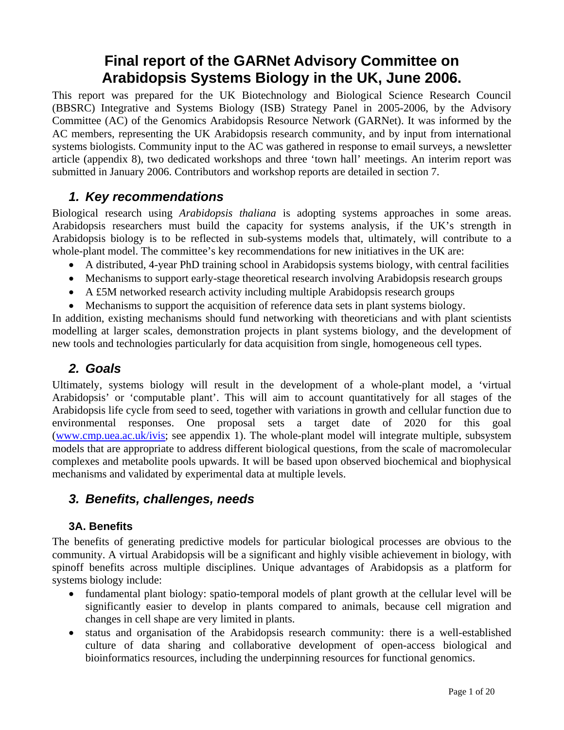# **Final report of the GARNet Advisory Committee on Arabidopsis Systems Biology in the UK, June 2006.**

This report was prepared for the UK Biotechnology and Biological Science Research Council (BBSRC) Integrative and Systems Biology (ISB) Strategy Panel in 2005-2006, by the Advisory Committee (AC) of the Genomics Arabidopsis Resource Network (GARNet). It was informed by the AC members, representing the UK Arabidopsis research community, and by input from international systems biologists. Community input to the AC was gathered in response to email surveys, a newsletter article (appendix 8), two dedicated workshops and three 'town hall' meetings. An interim report was submitted in January 2006. Contributors and workshop reports are detailed in section 7.

# *1. Key recommendations*

Biological research using *Arabidopsis thaliana* is adopting systems approaches in some areas. Arabidopsis researchers must build the capacity for systems analysis, if the UK's strength in Arabidopsis biology is to be reflected in sub-systems models that, ultimately, will contribute to a whole-plant model. The committee's key recommendations for new initiatives in the UK are:

- A distributed, 4-year PhD training school in Arabidopsis systems biology, with central facilities
- Mechanisms to support early-stage theoretical research involving Arabidopsis research groups
- A £5M networked research activity including multiple Arabidopsis research groups
- Mechanisms to support the acquisition of reference data sets in plant systems biology.

In addition, existing mechanisms should fund networking with theoreticians and with plant scientists modelling at larger scales, demonstration projects in plant systems biology, and the development of new tools and technologies particularly for data acquisition from single, homogeneous cell types.

# *2. Goals*

Ultimately, systems biology will result in the development of a whole-plant model, a 'virtual Arabidopsis' or 'computable plant'. This will aim to account quantitatively for all stages of the Arabidopsis life cycle from seed to seed, together with variations in growth and cellular function due to environmental responses. One proposal sets a target date of 2020 for this goal ([www.cmp.uea.ac.uk/ivis](http://www.cmp.uea.ac.uk/ivis); see appendix 1). The whole-plant model will integrate multiple, subsystem models that are appropriate to address different biological questions, from the scale of macromolecular complexes and metabolite pools upwards. It will be based upon observed biochemical and biophysical mechanisms and validated by experimental data at multiple levels.

# *3. Benefits, challenges, needs*

# **3A. Benefits**

The benefits of generating predictive models for particular biological processes are obvious to the community. A virtual Arabidopsis will be a significant and highly visible achievement in biology, with spinoff benefits across multiple disciplines. Unique advantages of Arabidopsis as a platform for systems biology include:

- fundamental plant biology: spatio-temporal models of plant growth at the cellular level will be significantly easier to develop in plants compared to animals, because cell migration and changes in cell shape are very limited in plants.
- status and organisation of the Arabidopsis research community: there is a well-established culture of data sharing and collaborative development of open-access biological and bioinformatics resources, including the underpinning resources for functional genomics.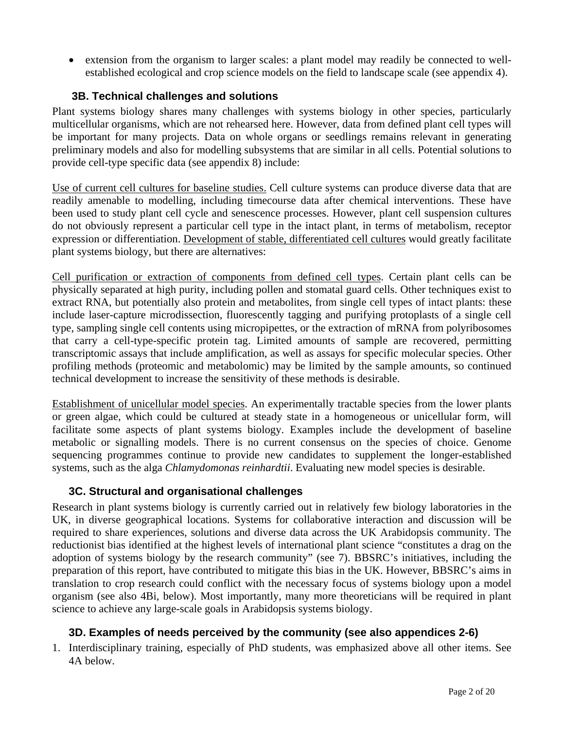• extension from the organism to larger scales: a plant model may readily be connected to wellestablished ecological and crop science models on the field to landscape scale (see appendix 4).

# **3B. Technical challenges and solutions**

Plant systems biology shares many challenges with systems biology in other species, particularly multicellular organisms, which are not rehearsed here. However, data from defined plant cell types will be important for many projects. Data on whole organs or seedlings remains relevant in generating preliminary models and also for modelling subsystems that are similar in all cells. Potential solutions to provide cell-type specific data (see appendix 8) include:

Use of current cell cultures for baseline studies. Cell culture systems can produce diverse data that are readily amenable to modelling, including timecourse data after chemical interventions. These have been used to study plant cell cycle and senescence processes. However, plant cell suspension cultures do not obviously represent a particular cell type in the intact plant, in terms of metabolism, receptor expression or differentiation. Development of stable, differentiated cell cultures would greatly facilitate plant systems biology, but there are alternatives:

Cell purification or extraction of components from defined cell types. Certain plant cells can be physically separated at high purity, including pollen and stomatal guard cells. Other techniques exist to extract RNA, but potentially also protein and metabolites, from single cell types of intact plants: these include laser-capture microdissection, fluorescently tagging and purifying protoplasts of a single cell type, sampling single cell contents using micropipettes, or the extraction of mRNA from polyribosomes that carry a cell-type-specific protein tag. Limited amounts of sample are recovered, permitting transcriptomic assays that include amplification, as well as assays for specific molecular species. Other profiling methods (proteomic and metabolomic) may be limited by the sample amounts, so continued technical development to increase the sensitivity of these methods is desirable.

Establishment of unicellular model species. An experimentally tractable species from the lower plants or green algae, which could be cultured at steady state in a homogeneous or unicellular form, will facilitate some aspects of plant systems biology. Examples include the development of baseline metabolic or signalling models. There is no current consensus on the species of choice. Genome sequencing programmes continue to provide new candidates to supplement the longer-established systems, such as the alga *Chlamydomonas reinhardtii*. Evaluating new model species is desirable.

# **3C. Structural and organisational challenges**

Research in plant systems biology is currently carried out in relatively few biology laboratories in the UK, in diverse geographical locations. Systems for collaborative interaction and discussion will be required to share experiences, solutions and diverse data across the UK Arabidopsis community. The reductionist bias identified at the highest levels of international plant science "constitutes a drag on the adoption of systems biology by the research community" (see 7). BBSRC's initiatives, including the preparation of this report, have contributed to mitigate this bias in the UK. However, BBSRC's aims in translation to crop research could conflict with the necessary focus of systems biology upon a model organism (see also 4Bi, below). Most importantly, many more theoreticians will be required in plant science to achieve any large-scale goals in Arabidopsis systems biology.

# **3D. Examples of needs perceived by the community (see also appendices 2-6)**

1. Interdisciplinary training, especially of PhD students, was emphasized above all other items. See 4A below.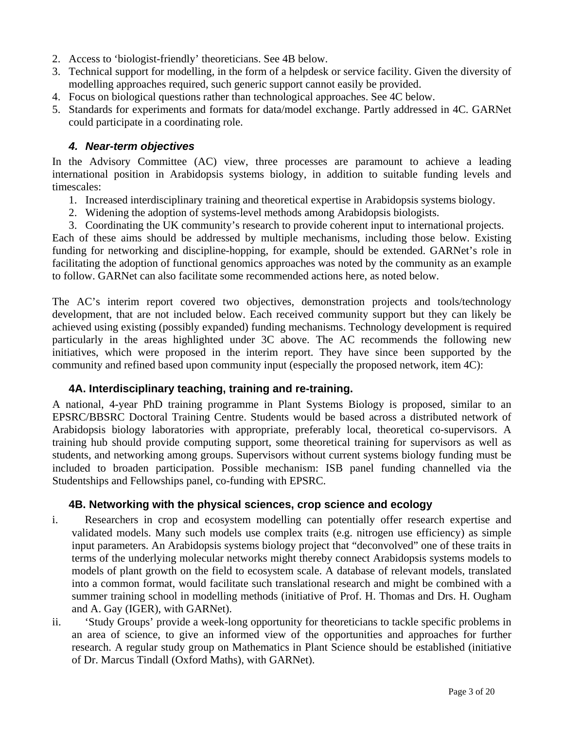- 2. Access to 'biologist-friendly' theoreticians. See 4B below.
- 3. Technical support for modelling, in the form of a helpdesk or service facility. Given the diversity of modelling approaches required, such generic support cannot easily be provided.
- 4. Focus on biological questions rather than technological approaches. See 4C below.
- 5. Standards for experiments and formats for data/model exchange. Partly addressed in 4C. GARNet could participate in a coordinating role.

# *4. Near-term objectives*

In the Advisory Committee (AC) view, three processes are paramount to achieve a leading international position in Arabidopsis systems biology, in addition to suitable funding levels and timescales:

- 1. Increased interdisciplinary training and theoretical expertise in Arabidopsis systems biology.
- 2. Widening the adoption of systems-level methods among Arabidopsis biologists.
- 3. Coordinating the UK community's research to provide coherent input to international projects.

Each of these aims should be addressed by multiple mechanisms, including those below. Existing funding for networking and discipline-hopping, for example, should be extended. GARNet's role in facilitating the adoption of functional genomics approaches was noted by the community as an example to follow. GARNet can also facilitate some recommended actions here, as noted below.

The AC's interim report covered two objectives, demonstration projects and tools/technology development, that are not included below. Each received community support but they can likely be achieved using existing (possibly expanded) funding mechanisms. Technology development is required particularly in the areas highlighted under 3C above. The AC recommends the following new initiatives, which were proposed in the interim report. They have since been supported by the community and refined based upon community input (especially the proposed network, item 4C):

# **4A. Interdisciplinary teaching, training and re-training.**

A national, 4-year PhD training programme in Plant Systems Biology is proposed, similar to an EPSRC/BBSRC Doctoral Training Centre. Students would be based across a distributed network of Arabidopsis biology laboratories with appropriate, preferably local, theoretical co-supervisors. A training hub should provide computing support, some theoretical training for supervisors as well as students, and networking among groups. Supervisors without current systems biology funding must be included to broaden participation. Possible mechanism: ISB panel funding channelled via the Studentships and Fellowships panel, co-funding with EPSRC.

# **4B. Networking with the physical sciences, crop science and ecology**

- i. Researchers in crop and ecosystem modelling can potentially offer research expertise and validated models. Many such models use complex traits (e.g. nitrogen use efficiency) as simple input parameters. An Arabidopsis systems biology project that "deconvolved" one of these traits in terms of the underlying molecular networks might thereby connect Arabidopsis systems models to models of plant growth on the field to ecosystem scale. A database of relevant models, translated into a common format, would facilitate such translational research and might be combined with a summer training school in modelling methods (initiative of Prof. H. Thomas and Drs. H. Ougham and A. Gay (IGER), with GARNet).
- ii. 'Study Groups' provide a week-long opportunity for theoreticians to tackle specific problems in an area of science, to give an informed view of the opportunities and approaches for further research. A regular study group on Mathematics in Plant Science should be established (initiative of Dr. Marcus Tindall (Oxford Maths), with GARNet).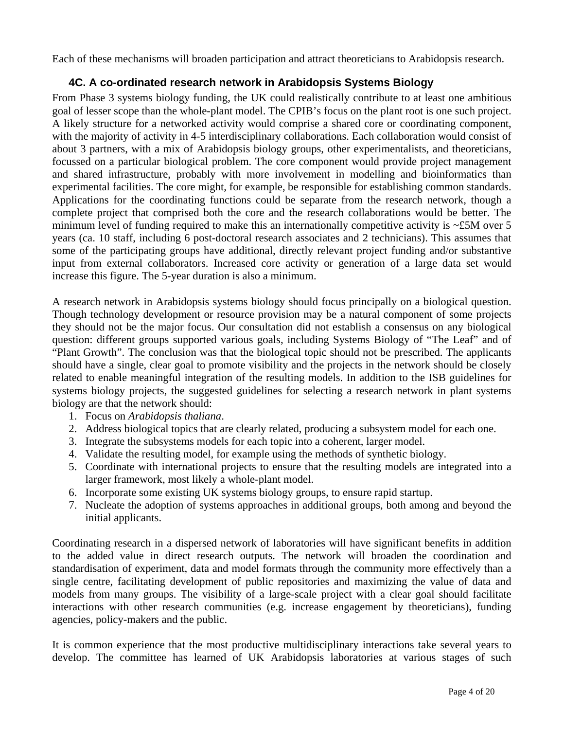Each of these mechanisms will broaden participation and attract theoreticians to Arabidopsis research.

# **4C. A co-ordinated research network in Arabidopsis Systems Biology**

From Phase 3 systems biology funding, the UK could realistically contribute to at least one ambitious goal of lesser scope than the whole-plant model. The CPIB's focus on the plant root is one such project. A likely structure for a networked activity would comprise a shared core or coordinating component, with the majority of activity in 4-5 interdisciplinary collaborations. Each collaboration would consist of about 3 partners, with a mix of Arabidopsis biology groups, other experimentalists, and theoreticians, focussed on a particular biological problem. The core component would provide project management and shared infrastructure, probably with more involvement in modelling and bioinformatics than experimental facilities. The core might, for example, be responsible for establishing common standards. Applications for the coordinating functions could be separate from the research network, though a complete project that comprised both the core and the research collaborations would be better. The minimum level of funding required to make this an internationally competitive activity is ~£5M over 5 years (ca. 10 staff, including 6 post-doctoral research associates and 2 technicians). This assumes that some of the participating groups have additional, directly relevant project funding and/or substantive input from external collaborators. Increased core activity or generation of a large data set would increase this figure. The 5-year duration is also a minimum.

A research network in Arabidopsis systems biology should focus principally on a biological question. Though technology development or resource provision may be a natural component of some projects they should not be the major focus. Our consultation did not establish a consensus on any biological question: different groups supported various goals, including Systems Biology of "The Leaf" and of "Plant Growth". The conclusion was that the biological topic should not be prescribed. The applicants should have a single, clear goal to promote visibility and the projects in the network should be closely related to enable meaningful integration of the resulting models. In addition to the ISB guidelines for systems biology projects, the suggested guidelines for selecting a research network in plant systems biology are that the network should:

- 1. Focus on *Arabidopsis thaliana*.
- 2. Address biological topics that are clearly related, producing a subsystem model for each one.
- 3. Integrate the subsystems models for each topic into a coherent, larger model.
- 4. Validate the resulting model, for example using the methods of synthetic biology.
- 5. Coordinate with international projects to ensure that the resulting models are integrated into a larger framework, most likely a whole-plant model.
- 6. Incorporate some existing UK systems biology groups, to ensure rapid startup.
- 7. Nucleate the adoption of systems approaches in additional groups, both among and beyond the initial applicants.

Coordinating research in a dispersed network of laboratories will have significant benefits in addition to the added value in direct research outputs. The network will broaden the coordination and standardisation of experiment, data and model formats through the community more effectively than a single centre, facilitating development of public repositories and maximizing the value of data and models from many groups. The visibility of a large-scale project with a clear goal should facilitate interactions with other research communities (e.g. increase engagement by theoreticians), funding agencies, policy-makers and the public.

It is common experience that the most productive multidisciplinary interactions take several years to develop. The committee has learned of UK Arabidopsis laboratories at various stages of such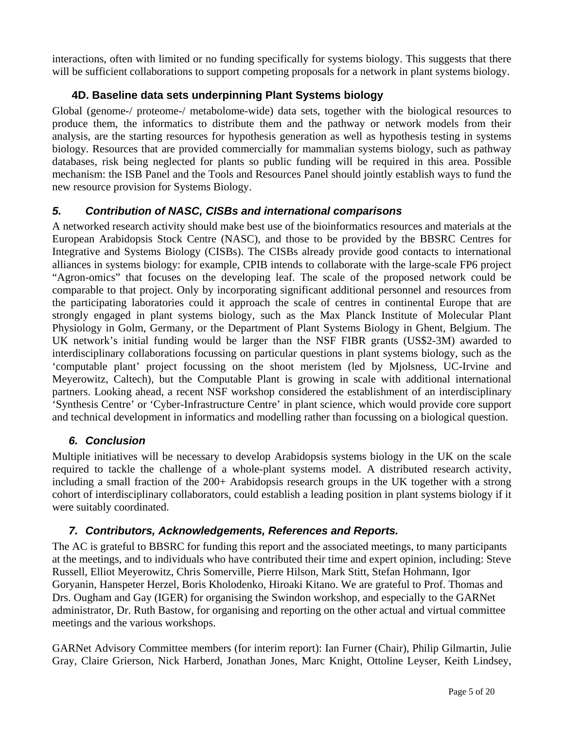interactions, often with limited or no funding specifically for systems biology. This suggests that there will be sufficient collaborations to support competing proposals for a network in plant systems biology.

# **4D. Baseline data sets underpinning Plant Systems biology**

Global (genome-/ proteome-/ metabolome-wide) data sets, together with the biological resources to produce them, the informatics to distribute them and the pathway or network models from their analysis, are the starting resources for hypothesis generation as well as hypothesis testing in systems biology. Resources that are provided commercially for mammalian systems biology, such as pathway databases, risk being neglected for plants so public funding will be required in this area. Possible mechanism: the ISB Panel and the Tools and Resources Panel should jointly establish ways to fund the new resource provision for Systems Biology.

# *5. Contribution of NASC, CISBs and international comparisons*

A networked research activity should make best use of the bioinformatics resources and materials at the European Arabidopsis Stock Centre (NASC), and those to be provided by the BBSRC Centres for Integrative and Systems Biology (CISBs). The CISBs already provide good contacts to international alliances in systems biology: for example, CPIB intends to collaborate with the large-scale FP6 project "Agron-omics" that focuses on the developing leaf. The scale of the proposed network could be comparable to that project. Only by incorporating significant additional personnel and resources from the participating laboratories could it approach the scale of centres in continental Europe that are strongly engaged in plant systems biology, such as the Max Planck Institute of Molecular Plant Physiology in Golm, Germany, or the Department of Plant Systems Biology in Ghent, Belgium. The UK network's initial funding would be larger than the NSF FIBR grants (US\$2-3M) awarded to interdisciplinary collaborations focussing on particular questions in plant systems biology, such as the 'computable plant' project focussing on the shoot meristem (led by Mjolsness, UC-Irvine and Meyerowitz, Caltech), but the Computable Plant is growing in scale with additional international partners. Looking ahead, a recent NSF workshop considered the establishment of an interdisciplinary 'Synthesis Centre' or 'Cyber-Infrastructure Centre' in plant science, which would provide core support and technical development in informatics and modelling rather than focussing on a biological question.

# *6. Conclusion*

Multiple initiatives will be necessary to develop Arabidopsis systems biology in the UK on the scale required to tackle the challenge of a whole-plant systems model. A distributed research activity, including a small fraction of the 200+ Arabidopsis research groups in the UK together with a strong cohort of interdisciplinary collaborators, could establish a leading position in plant systems biology if it were suitably coordinated.

# *7. Contributors, Acknowledgements, References and Reports.*

The AC is grateful to BBSRC for funding this report and the associated meetings, to many participants at the meetings, and to individuals who have contributed their time and expert opinion, including: Steve Russell, Elliot Meyerowitz, Chris Somerville, Pierre Hilson, Mark Stitt, Stefan Hohmann, Igor Goryanin, Hanspeter Herzel, Boris Kholodenko, Hiroaki Kitano. We are grateful to Prof. Thomas and Drs. Ougham and Gay (IGER) for organising the Swindon workshop, and especially to the GARNet administrator, Dr. Ruth Bastow, for organising and reporting on the other actual and virtual committee meetings and the various workshops.

GARNet Advisory Committee members (for interim report): Ian Furner (Chair), Philip Gilmartin, Julie Gray, Claire Grierson, Nick Harberd, Jonathan Jones, Marc Knight, Ottoline Leyser, Keith Lindsey,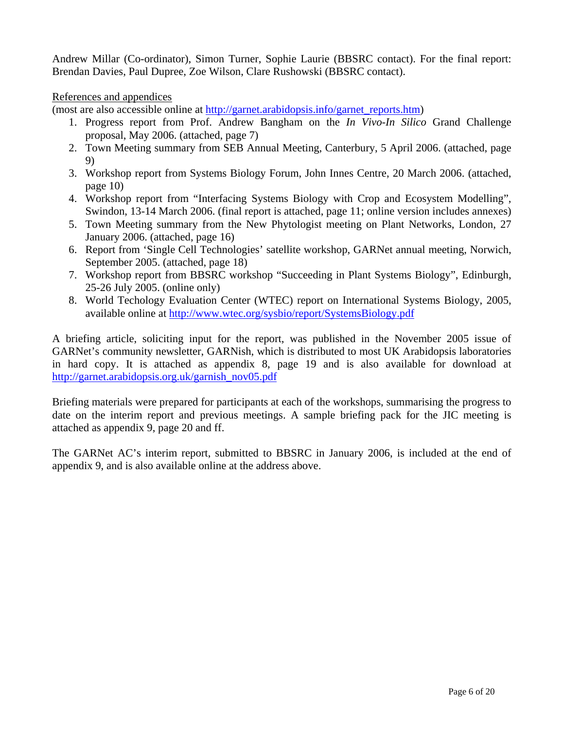Andrew Millar (Co-ordinator), Simon Turner, Sophie Laurie (BBSRC contact). For the final report: Brendan Davies, Paul Dupree, Zoe Wilson, Clare Rushowski (BBSRC contact).

References and appendices

(most are also accessible online at [http://garnet.arabidopsis.info/garnet\\_reports.htm](http://garnet.arabidopsis.info/garnet_reports.htm))

- 1. Progress report from Prof. Andrew Bangham on the *In Vivo-In Silico* Grand Challenge proposal, May 2006. (attached, page 7)
- 2. Town Meeting summary from SEB Annual Meeting, Canterbury, 5 April 2006. (attached, page 9)
- 3. Workshop report from Systems Biology Forum, John Innes Centre, 20 March 2006. (attached, page 10)
- 4. Workshop report from "Interfacing Systems Biology with Crop and Ecosystem Modelling", Swindon, 13-14 March 2006. (final report is attached, page 11; online version includes annexes)
- 5. Town Meeting summary from the New Phytologist meeting on Plant Networks, London, 27 January 2006. (attached, page 16)
- 6. Report from 'Single Cell Technologies' satellite workshop, GARNet annual meeting, Norwich, September 2005. (attached, page 18)
- 7. Workshop report from BBSRC workshop "Succeeding in Plant Systems Biology", Edinburgh, 25-26 July 2005. (online only)
- 8. World Techology Evaluation Center (WTEC) report on International Systems Biology, 2005, available online at <http://www.wtec.org/sysbio/report/SystemsBiology.pdf>

A briefing article, soliciting input for the report, was published in the November 2005 issue of GARNet's community newsletter, GARNish, which is distributed to most UK Arabidopsis laboratories in hard copy. It is attached as appendix 8, page 19 and is also available for download at [http://garnet.arabidopsis.org.uk/garnish\\_nov05.pdf](http://garnet.arabidopsis.org.uk/garnish_nov05.pdf) 

Briefing materials were prepared for participants at each of the workshops, summarising the progress to date on the interim report and previous meetings. A sample briefing pack for the JIC meeting is attached as appendix 9, page 20 and ff.

The GARNet AC's interim report, submitted to BBSRC in January 2006, is included at the end of appendix 9, and is also available online at the address above.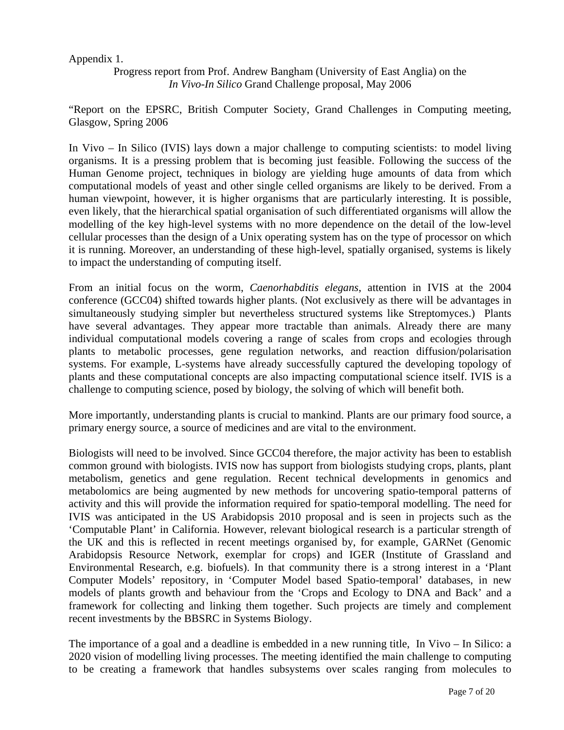## Appendix 1.

Progress report from Prof. Andrew Bangham (University of East Anglia) on the *In Vivo-In Silico* Grand Challenge proposal, May 2006

"Report on the EPSRC, British Computer Society, Grand Challenges in Computing meeting, Glasgow, Spring 2006

In Vivo – In Silico (IVIS) lays down a major challenge to computing scientists: to model living organisms. It is a pressing problem that is becoming just feasible. Following the success of the Human Genome project, techniques in biology are yielding huge amounts of data from which computational models of yeast and other single celled organisms are likely to be derived. From a human viewpoint, however, it is higher organisms that are particularly interesting. It is possible, even likely, that the hierarchical spatial organisation of such differentiated organisms will allow the modelling of the key high-level systems with no more dependence on the detail of the low-level cellular processes than the design of a Unix operating system has on the type of processor on which it is running. Moreover, an understanding of these high-level, spatially organised, systems is likely to impact the understanding of computing itself.

From an initial focus on the worm, *Caenorhabditis elegans*, attention in IVIS at the 2004 conference (GCC04) shifted towards higher plants. (Not exclusively as there will be advantages in simultaneously studying simpler but nevertheless structured systems like Streptomyces.) Plants have several advantages. They appear more tractable than animals. Already there are many individual computational models covering a range of scales from crops and ecologies through plants to metabolic processes, gene regulation networks, and reaction diffusion/polarisation systems. For example, L-systems have already successfully captured the developing topology of plants and these computational concepts are also impacting computational science itself. IVIS is a challenge to computing science, posed by biology, the solving of which will benefit both.

More importantly, understanding plants is crucial to mankind. Plants are our primary food source, a primary energy source, a source of medicines and are vital to the environment.

Biologists will need to be involved. Since GCC04 therefore, the major activity has been to establish common ground with biologists. IVIS now has support from biologists studying crops, plants, plant metabolism, genetics and gene regulation. Recent technical developments in genomics and metabolomics are being augmented by new methods for uncovering spatio-temporal patterns of activity and this will provide the information required for spatio-temporal modelling. The need for IVIS was anticipated in the US Arabidopsis 2010 proposal and is seen in projects such as the 'Computable Plant' in California. However, relevant biological research is a particular strength of the UK and this is reflected in recent meetings organised by, for example, GARNet (Genomic Arabidopsis Resource Network, exemplar for crops) and IGER (Institute of Grassland and Environmental Research, e.g. biofuels). In that community there is a strong interest in a 'Plant Computer Models' repository, in 'Computer Model based Spatio-temporal' databases, in new models of plants growth and behaviour from the 'Crops and Ecology to DNA and Back' and a framework for collecting and linking them together. Such projects are timely and complement recent investments by the BBSRC in Systems Biology.

The importance of a goal and a deadline is embedded in a new running title, In Vivo – In Silico: a 2020 vision of modelling living processes. The meeting identified the main challenge to computing to be creating a framework that handles subsystems over scales ranging from molecules to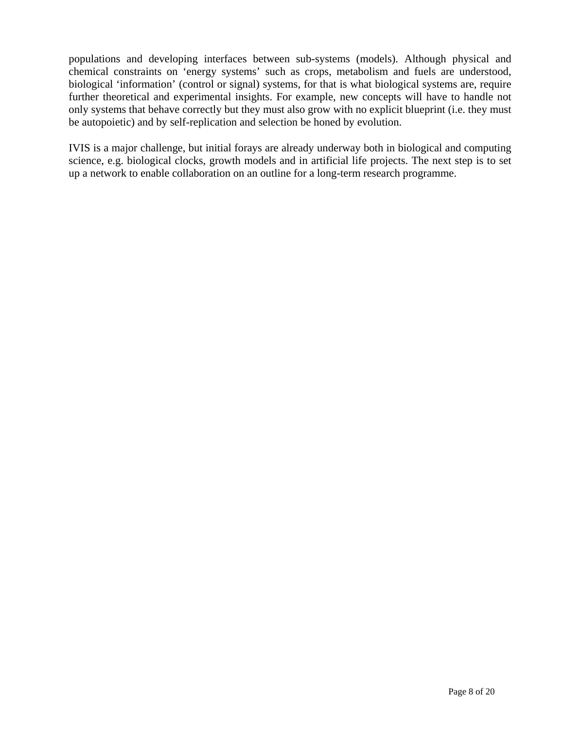populations and developing interfaces between sub-systems (models). Although physical and chemical constraints on 'energy systems' such as crops, metabolism and fuels are understood, biological 'information' (control or signal) systems, for that is what biological systems are, require further theoretical and experimental insights. For example, new concepts will have to handle not only systems that behave correctly but they must also grow with no explicit blueprint (i.e. they must be autopoietic) and by self-replication and selection be honed by evolution.

IVIS is a major challenge, but initial forays are already underway both in biological and computing science, e.g. biological clocks, growth models and in artificial life projects. The next step is to set up a network to enable collaboration on an outline for a long-term research programme.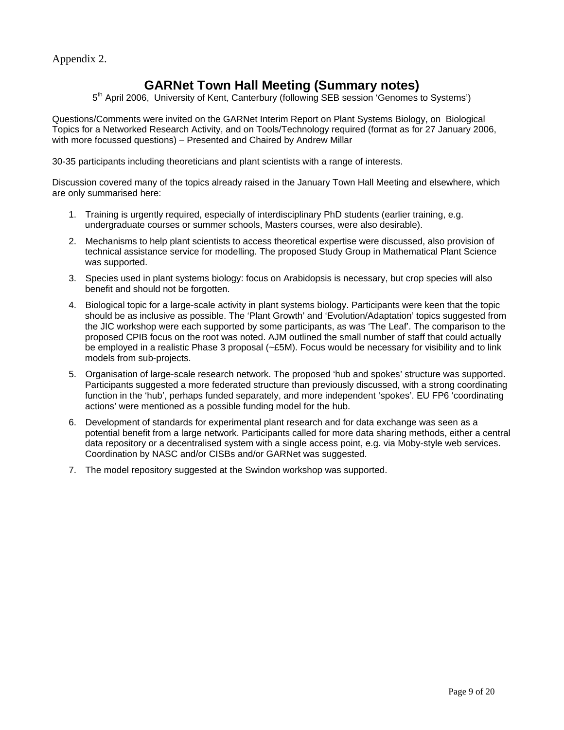Appendix 2.

# **GARNet Town Hall Meeting (Summary notes)**

 $5<sup>th</sup>$  April 2006, University of Kent, Canterbury (following SEB session 'Genomes to Systems')

Questions/Comments were invited on the GARNet Interim Report on Plant Systems Biology, on Biological Topics for a Networked Research Activity, and on Tools/Technology required (format as for 27 January 2006, with more focussed questions) – Presented and Chaired by Andrew Millar

30-35 participants including theoreticians and plant scientists with a range of interests.

Discussion covered many of the topics already raised in the January Town Hall Meeting and elsewhere, which are only summarised here:

- 1. Training is urgently required, especially of interdisciplinary PhD students (earlier training, e.g. undergraduate courses or summer schools, Masters courses, were also desirable).
- 2. Mechanisms to help plant scientists to access theoretical expertise were discussed, also provision of technical assistance service for modelling. The proposed Study Group in Mathematical Plant Science was supported.
- 3. Species used in plant systems biology: focus on Arabidopsis is necessary, but crop species will also benefit and should not be forgotten.
- 4. Biological topic for a large-scale activity in plant systems biology. Participants were keen that the topic should be as inclusive as possible. The 'Plant Growth' and 'Evolution/Adaptation' topics suggested from the JIC workshop were each supported by some participants, as was 'The Leaf'. The comparison to the proposed CPIB focus on the root was noted. AJM outlined the small number of staff that could actually be employed in a realistic Phase 3 proposal (~£5M). Focus would be necessary for visibility and to link models from sub-projects.
- 5. Organisation of large-scale research network. The proposed 'hub and spokes' structure was supported. Participants suggested a more federated structure than previously discussed, with a strong coordinating function in the 'hub', perhaps funded separately, and more independent 'spokes'. EU FP6 'coordinating actions' were mentioned as a possible funding model for the hub.
- 6. Development of standards for experimental plant research and for data exchange was seen as a potential benefit from a large network. Participants called for more data sharing methods, either a central data repository or a decentralised system with a single access point, e.g. via Moby-style web services. Coordination by NASC and/or CISBs and/or GARNet was suggested.
- 7. The model repository suggested at the Swindon workshop was supported.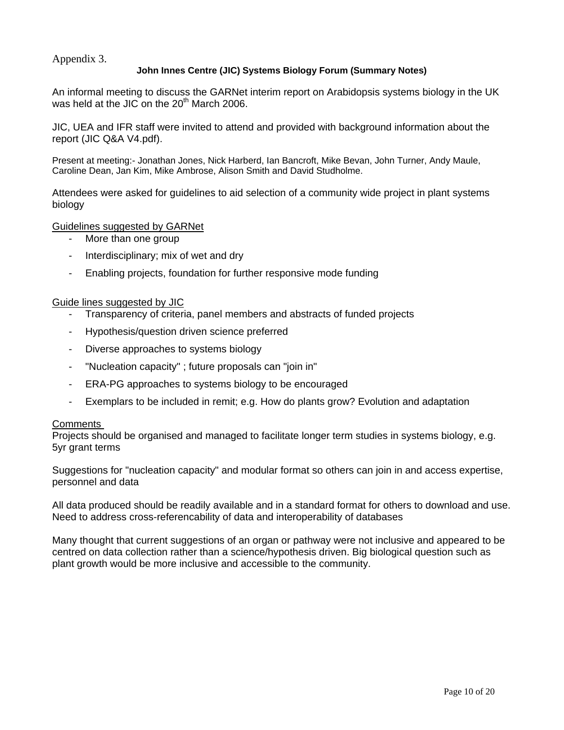Appendix 3.

#### **John Innes Centre (JIC) Systems Biology Forum (Summary Notes)**

An informal meeting to discuss the GARNet interim report on Arabidopsis systems biology in the UK was held at the JIC on the  $20<sup>th</sup>$  March 2006.

JIC, UEA and IFR staff were invited to attend and provided with background information about the report (JIC Q&A V4.pdf).

Present at meeting:- Jonathan Jones, Nick Harberd, Ian Bancroft, Mike Bevan, John Turner, Andy Maule, Caroline Dean, Jan Kim, Mike Ambrose, Alison Smith and David Studholme.

Attendees were asked for guidelines to aid selection of a community wide project in plant systems biology

#### Guidelines suggested by GARNet

- More than one group
- Interdisciplinary; mix of wet and dry
- Enabling projects, foundation for further responsive mode funding

#### Guide lines suggested by JIC

- Transparency of criteria, panel members and abstracts of funded projects
- Hypothesis/question driven science preferred
- Diverse approaches to systems biology
- "Nucleation capacity" ; future proposals can "join in"
- ERA-PG approaches to systems biology to be encouraged
- Exemplars to be included in remit; e.g. How do plants grow? Evolution and adaptation

#### Comments

Projects should be organised and managed to facilitate longer term studies in systems biology, e.g. 5yr grant terms

Suggestions for "nucleation capacity" and modular format so others can join in and access expertise, personnel and data

All data produced should be readily available and in a standard format for others to download and use. Need to address cross-referencability of data and interoperability of databases

Many thought that current suggestions of an organ or pathway were not inclusive and appeared to be centred on data collection rather than a science/hypothesis driven. Big biological question such as plant growth would be more inclusive and accessible to the community.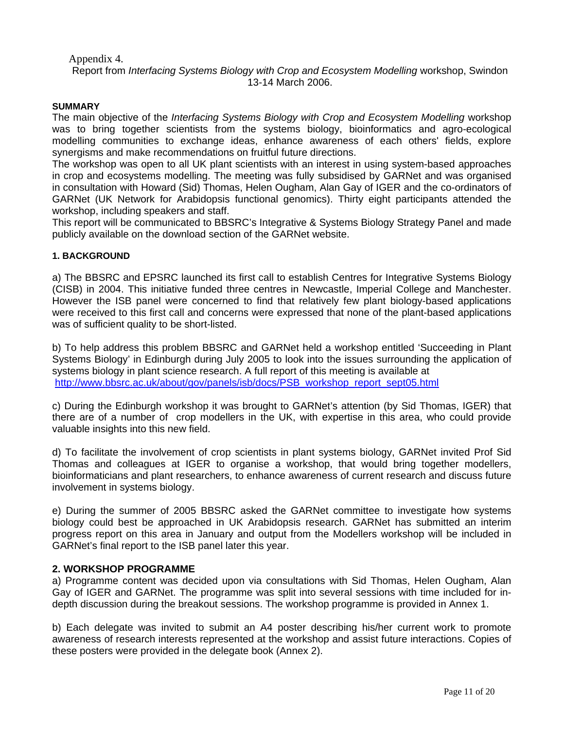Appendix 4.

Report from *Interfacing Systems Biology with Crop and Ecosystem Modelling* workshop, Swindon 13-14 March 2006.

#### **SUMMARY**

The main objective of the *Interfacing Systems Biology with Crop and Ecosystem Modelling* workshop was to bring together scientists from the systems biology, bioinformatics and agro-ecological modelling communities to exchange ideas, enhance awareness of each others' fields, explore synergisms and make recommendations on fruitful future directions.

The workshop was open to all UK plant scientists with an interest in using system-based approaches in crop and ecosystems modelling. The meeting was fully subsidised by GARNet and was organised in consultation with Howard (Sid) Thomas, Helen Ougham, Alan Gay of IGER and the co-ordinators of GARNet (UK Network for Arabidopsis functional genomics). Thirty eight participants attended the workshop, including speakers and staff.

This report will be communicated to BBSRC's Integrative & Systems Biology Strategy Panel and made publicly available on the download section of the GARNet website.

#### **1. BACKGROUND**

a) The BBSRC and EPSRC launched its first call to establish Centres for Integrative Systems Biology (CISB) in 2004. This initiative funded three centres in Newcastle, Imperial College and Manchester. However the ISB panel were concerned to find that relatively few plant biology-based applications were received to this first call and concerns were expressed that none of the plant-based applications was of sufficient quality to be short-listed.

b) To help address this problem BBSRC and GARNet held a workshop entitled 'Succeeding in Plant Systems Biology' in Edinburgh during July 2005 to look into the issues surrounding the application of systems biology in plant science research. A full report of this meeting is available at [http://www.bbsrc.ac.uk/about/gov/panels/isb/docs/PSB\\_workshop\\_report\\_sept05.html](http://www.bbsrc.ac.uk/about/gov/panels/isb/docs/PSB_workshop_report_sept05.html)

c) During the Edinburgh workshop it was brought to GARNet's attention (by Sid Thomas, IGER) that there are of a number of crop modellers in the UK, with expertise in this area, who could provide valuable insights into this new field.

d) To facilitate the involvement of crop scientists in plant systems biology, GARNet invited Prof Sid Thomas and colleagues at IGER to organise a workshop, that would bring together modellers, bioinformaticians and plant researchers, to enhance awareness of current research and discuss future involvement in systems biology.

e) During the summer of 2005 BBSRC asked the GARNet committee to investigate how systems biology could best be approached in UK Arabidopsis research. GARNet has submitted an interim progress report on this area in January and output from the Modellers workshop will be included in GARNet's final report to the ISB panel later this year.

#### **2. WORKSHOP PROGRAMME**

a) Programme content was decided upon via consultations with Sid Thomas, Helen Ougham, Alan Gay of IGER and GARNet. The programme was split into several sessions with time included for indepth discussion during the breakout sessions. The workshop programme is provided in Annex 1.

b) Each delegate was invited to submit an A4 poster describing his/her current work to promote awareness of research interests represented at the workshop and assist future interactions. Copies of these posters were provided in the delegate book (Annex 2).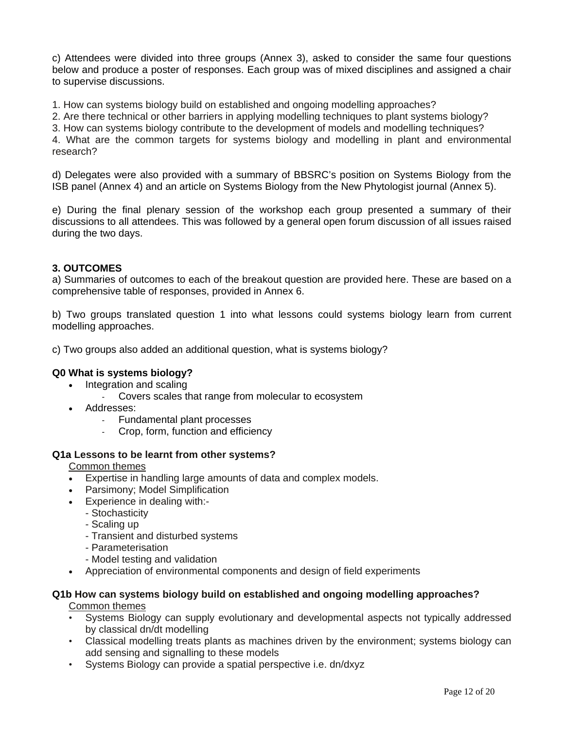c) Attendees were divided into three groups (Annex 3), asked to consider the same four questions below and produce a poster of responses. Each group was of mixed disciplines and assigned a chair to supervise discussions.

1. How can systems biology build on established and ongoing modelling approaches?

2. Are there technical or other barriers in applying modelling techniques to plant systems biology?

3. How can systems biology contribute to the development of models and modelling techniques?

4. What are the common targets for systems biology and modelling in plant and environmental research?

d) Delegates were also provided with a summary of BBSRC's position on Systems Biology from the ISB panel (Annex 4) and an article on Systems Biology from the New Phytologist journal (Annex 5).

e) During the final plenary session of the workshop each group presented a summary of their discussions to all attendees. This was followed by a general open forum discussion of all issues raised during the two days.

#### **3. OUTCOMES**

a) Summaries of outcomes to each of the breakout question are provided here. These are based on a comprehensive table of responses, provided in Annex 6.

b) Two groups translated question 1 into what lessons could systems biology learn from current modelling approaches.

c) Two groups also added an additional question, what is systems biology?

#### **Q0 What is systems biology?**

- Integration and scaling
	- Covers scales that range from molecular to ecosystem
- Addresses:
	- Fundamental plant processes
	- Crop, form, function and efficiency

#### **Q1a Lessons to be learnt from other systems?**

Common themes

- Expertise in handling large amounts of data and complex models.
- Parsimony; Model Simplification
- Experience in dealing with:-
	- Stochasticity
		- Scaling up
		- Transient and disturbed systems
		- Parameterisation
	- Model testing and validation
- Appreciation of environmental components and design of field experiments

#### **Q1b How can systems biology build on established and ongoing modelling approaches?**  Common themes

- Systems Biology can supply evolutionary and developmental aspects not typically addressed by classical dn/dt modelling
- Classical modelling treats plants as machines driven by the environment; systems biology can add sensing and signalling to these models
- Systems Biology can provide a spatial perspective i.e. dn/dxyz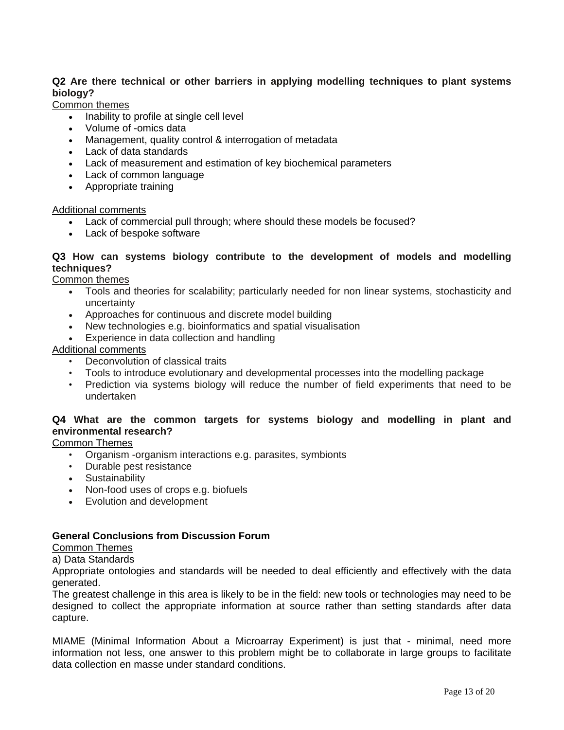## **Q2 Are there technical or other barriers in applying modelling techniques to plant systems biology?**

Common themes

- Inability to profile at single cell level
- Volume of -omics data
- Management, quality control & interrogation of metadata
- Lack of data standards
- Lack of measurement and estimation of key biochemical parameters
- Lack of common language
- Appropriate training

#### Additional comments

- Lack of commercial pull through; where should these models be focused?
- Lack of bespoke software

#### **Q3 How can systems biology contribute to the development of models and modelling techniques?**

Common themes

- Tools and theories for scalability; particularly needed for non linear systems, stochasticity and uncertainty
- Approaches for continuous and discrete model building
- New technologies e.g. bioinformatics and spatial visualisation
- Experience in data collection and handling

#### Additional comments

- Deconvolution of classical traits
- Tools to introduce evolutionary and developmental processes into the modelling package
- Prediction via systems biology will reduce the number of field experiments that need to be undertaken

#### **Q4 What are the common targets for systems biology and modelling in plant and environmental research?**

Common Themes

- Organism -organism interactions e.g. parasites, symbionts
- Durable pest resistance
- Sustainability
- Non-food uses of crops e.g. biofuels
- Evolution and development

### **General Conclusions from Discussion Forum**

# Common Themes

## a) Data Standards

Appropriate ontologies and standards will be needed to deal efficiently and effectively with the data generated.

The greatest challenge in this area is likely to be in the field: new tools or technologies may need to be designed to collect the appropriate information at source rather than setting standards after data capture.

MIAME (Minimal Information About a Microarray Experiment) is just that - minimal, need more information not less, one answer to this problem might be to collaborate in large groups to facilitate data collection en masse under standard conditions.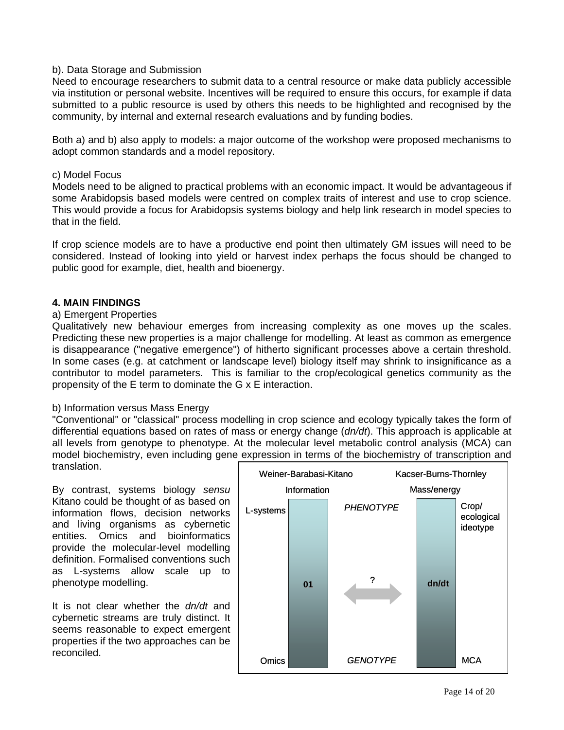#### b). Data Storage and Submission

Need to encourage researchers to submit data to a central resource or make data publicly accessible via institution or personal website. Incentives will be required to ensure this occurs, for example if data submitted to a public resource is used by others this needs to be highlighted and recognised by the community, by internal and external research evaluations and by funding bodies.

Both a) and b) also apply to models: a major outcome of the workshop were proposed mechanisms to adopt common standards and a model repository.

#### c) Model Focus

Models need to be aligned to practical problems with an economic impact. It would be advantageous if some Arabidopsis based models were centred on complex traits of interest and use to crop science. This would provide a focus for Arabidopsis systems biology and help link research in model species to that in the field.

If crop science models are to have a productive end point then ultimately GM issues will need to be considered. Instead of looking into yield or harvest index perhaps the focus should be changed to public good for example, diet, health and bioenergy.

#### **4. MAIN FINDINGS**

#### a) Emergent Properties

Qualitatively new behaviour emerges from increasing complexity as one moves up the scales. Predicting these new properties is a major challenge for modelling. At least as common as emergence is disappearance ("negative emergence") of hitherto significant processes above a certain threshold. In some cases (e.g. at catchment or landscape level) biology itself may shrink to insignificance as a contributor to model parameters. This is familiar to the crop/ecological genetics community as the propensity of the E term to dominate the G x E interaction.

#### b) Information versus Mass Energy

"Conventional" or "classical" process modelling in crop science and ecology typically takes the form of differential equations based on rates of mass or energy change (*dn/dt*). This approach is applicable at all levels from genotype to phenotype. At the molecular level metabolic control analysis (MCA) can model biochemistry, even including gene expression in terms of the biochemistry of transcription and translation.

By contrast, systems biology *sensu* Kitano could be thought of as based on information flows, decision networks and living organisms as cybernetic entities. Omics and bioinformatics provide the molecular-level modelling definition. Formalised conventions such as L-systems allow scale up to phenotype modelling.

It is not clear whether the *dn/dt* and cybernetic streams are truly distinct. It seems reasonable to expect emergent properties if the two approaches can be reconciled.

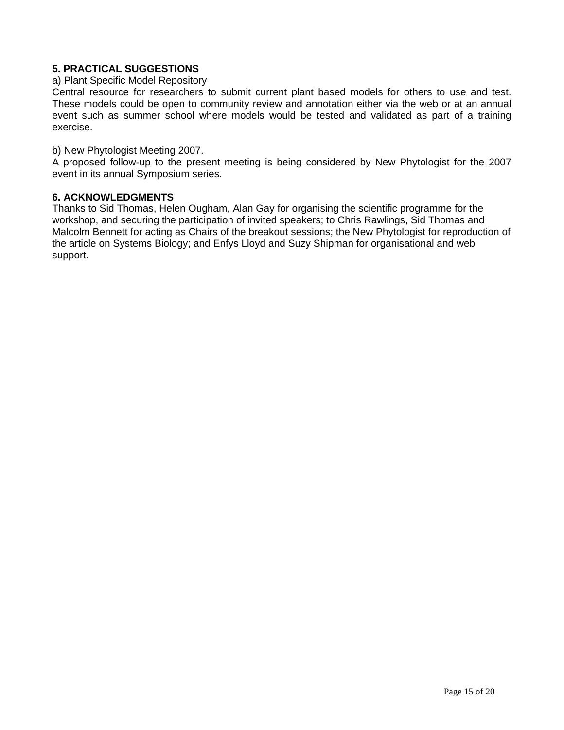### **5. PRACTICAL SUGGESTIONS**

#### a) Plant Specific Model Repository

Central resource for researchers to submit current plant based models for others to use and test. These models could be open to community review and annotation either via the web or at an annual event such as summer school where models would be tested and validated as part of a training exercise.

b) New Phytologist Meeting 2007.

A proposed follow-up to the present meeting is being considered by New Phytologist for the 2007 event in its annual Symposium series.

#### **6. ACKNOWLEDGMENTS**

Thanks to Sid Thomas, Helen Ougham, Alan Gay for organising the scientific programme for the workshop, and securing the participation of invited speakers; to Chris Rawlings, Sid Thomas and Malcolm Bennett for acting as Chairs of the breakout sessions; the New Phytologist for reproduction of the article on Systems Biology; and Enfys Lloyd and Suzy Shipman for organisational and web support.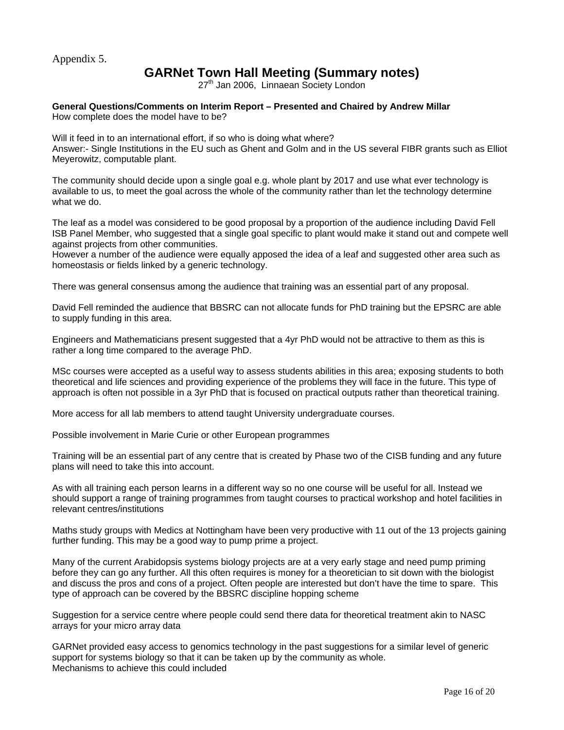Appendix 5.

# **GARNet Town Hall Meeting (Summary notes)**

27<sup>th</sup> Jan 2006, Linnaean Society London

**General Questions/Comments on Interim Report – Presented and Chaired by Andrew Millar**  How complete does the model have to be?

Will it feed in to an international effort, if so who is doing what where?

Answer:- Single Institutions in the EU such as Ghent and Golm and in the US several FIBR grants such as Elliot Meyerowitz, computable plant.

The community should decide upon a single goal e.g. whole plant by 2017 and use what ever technology is available to us, to meet the goal across the whole of the community rather than let the technology determine what we do.

The leaf as a model was considered to be good proposal by a proportion of the audience including David Fell ISB Panel Member, who suggested that a single goal specific to plant would make it stand out and compete well against projects from other communities.

However a number of the audience were equally apposed the idea of a leaf and suggested other area such as homeostasis or fields linked by a generic technology.

There was general consensus among the audience that training was an essential part of any proposal.

David Fell reminded the audience that BBSRC can not allocate funds for PhD training but the EPSRC are able to supply funding in this area.

Engineers and Mathematicians present suggested that a 4yr PhD would not be attractive to them as this is rather a long time compared to the average PhD.

MSc courses were accepted as a useful way to assess students abilities in this area; exposing students to both theoretical and life sciences and providing experience of the problems they will face in the future. This type of approach is often not possible in a 3yr PhD that is focused on practical outputs rather than theoretical training.

More access for all lab members to attend taught University undergraduate courses.

Possible involvement in Marie Curie or other European programmes

Training will be an essential part of any centre that is created by Phase two of the CISB funding and any future plans will need to take this into account.

As with all training each person learns in a different way so no one course will be useful for all. Instead we should support a range of training programmes from taught courses to practical workshop and hotel facilities in relevant centres/institutions

Maths study groups with Medics at Nottingham have been very productive with 11 out of the 13 projects gaining further funding. This may be a good way to pump prime a project.

Many of the current Arabidopsis systems biology projects are at a very early stage and need pump priming before they can go any further. All this often requires is money for a theoretician to sit down with the biologist and discuss the pros and cons of a project. Often people are interested but don't have the time to spare. This type of approach can be covered by the BBSRC discipline hopping scheme

Suggestion for a service centre where people could send there data for theoretical treatment akin to NASC arrays for your micro array data

GARNet provided easy access to genomics technology in the past suggestions for a similar level of generic support for systems biology so that it can be taken up by the community as whole. Mechanisms to achieve this could included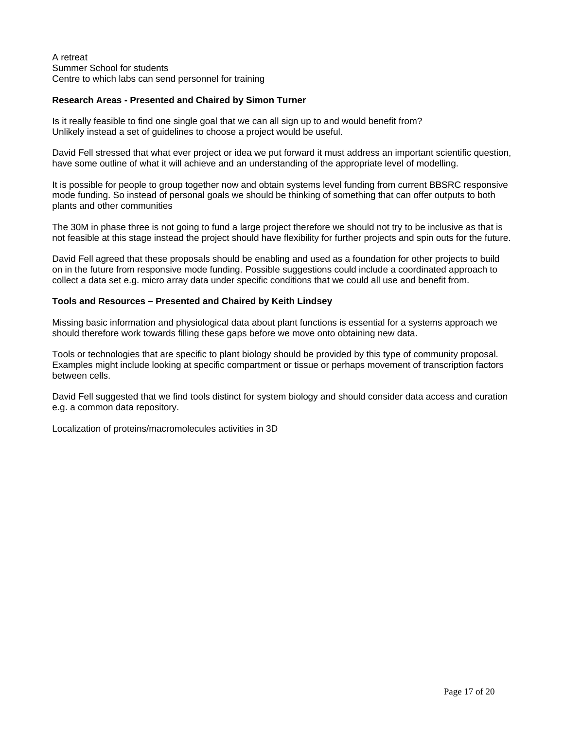#### A retreat Summer School for students Centre to which labs can send personnel for training

#### **Research Areas - Presented and Chaired by Simon Turner**

Is it really feasible to find one single goal that we can all sign up to and would benefit from? Unlikely instead a set of guidelines to choose a project would be useful.

David Fell stressed that what ever project or idea we put forward it must address an important scientific question, have some outline of what it will achieve and an understanding of the appropriate level of modelling.

It is possible for people to group together now and obtain systems level funding from current BBSRC responsive mode funding. So instead of personal goals we should be thinking of something that can offer outputs to both plants and other communities

The 30M in phase three is not going to fund a large project therefore we should not try to be inclusive as that is not feasible at this stage instead the project should have flexibility for further projects and spin outs for the future.

David Fell agreed that these proposals should be enabling and used as a foundation for other projects to build on in the future from responsive mode funding. Possible suggestions could include a coordinated approach to collect a data set e.g. micro array data under specific conditions that we could all use and benefit from.

#### **Tools and Resources – Presented and Chaired by Keith Lindsey**

Missing basic information and physiological data about plant functions is essential for a systems approach we should therefore work towards filling these gaps before we move onto obtaining new data.

Tools or technologies that are specific to plant biology should be provided by this type of community proposal. Examples might include looking at specific compartment or tissue or perhaps movement of transcription factors between cells.

David Fell suggested that we find tools distinct for system biology and should consider data access and curation e.g. a common data repository.

Localization of proteins/macromolecules activities in 3D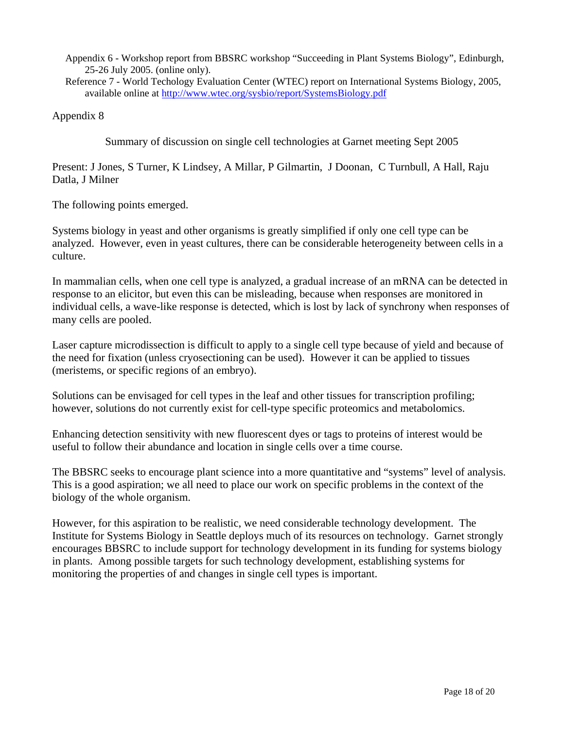Appendix 6 - Workshop report from BBSRC workshop "Succeeding in Plant Systems Biology", Edinburgh, 25-26 July 2005. (online only).

Reference 7 - World Techology Evaluation Center (WTEC) report on International Systems Biology, 2005, available online at <http://www.wtec.org/sysbio/report/SystemsBiology.pdf>

Appendix 8

Summary of discussion on single cell technologies at Garnet meeting Sept 2005

Present: J Jones, S Turner, K Lindsey, A Millar, P Gilmartin, J Doonan, C Turnbull, A Hall, Raju Datla, J Milner

The following points emerged.

Systems biology in yeast and other organisms is greatly simplified if only one cell type can be analyzed. However, even in yeast cultures, there can be considerable heterogeneity between cells in a culture.

In mammalian cells, when one cell type is analyzed, a gradual increase of an mRNA can be detected in response to an elicitor, but even this can be misleading, because when responses are monitored in individual cells, a wave-like response is detected, which is lost by lack of synchrony when responses of many cells are pooled.

Laser capture microdissection is difficult to apply to a single cell type because of yield and because of the need for fixation (unless cryosectioning can be used). However it can be applied to tissues (meristems, or specific regions of an embryo).

Solutions can be envisaged for cell types in the leaf and other tissues for transcription profiling; however, solutions do not currently exist for cell-type specific proteomics and metabolomics.

Enhancing detection sensitivity with new fluorescent dyes or tags to proteins of interest would be useful to follow their abundance and location in single cells over a time course.

The BBSRC seeks to encourage plant science into a more quantitative and "systems" level of analysis. This is a good aspiration; we all need to place our work on specific problems in the context of the biology of the whole organism.

However, for this aspiration to be realistic, we need considerable technology development. The Institute for Systems Biology in Seattle deploys much of its resources on technology. Garnet strongly encourages BBSRC to include support for technology development in its funding for systems biology in plants. Among possible targets for such technology development, establishing systems for monitoring the properties of and changes in single cell types is important.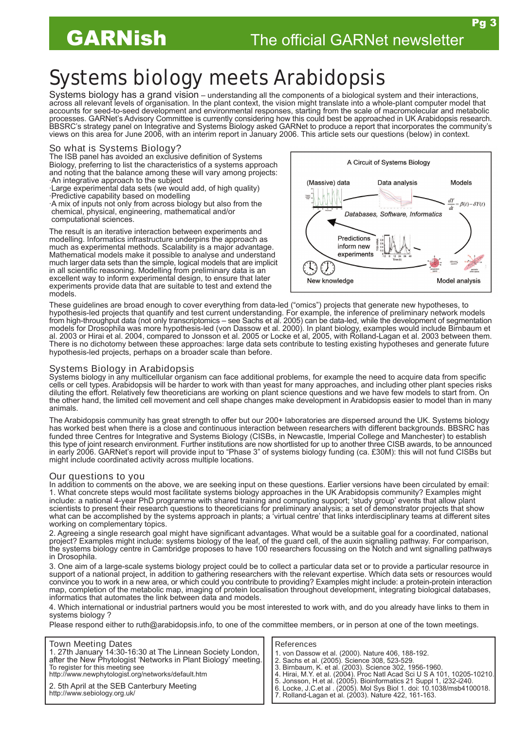Pg 3

# Systems biology meets Arabidopsis

Systems biology has a grand vision – understanding all the components of a biological system and their interactions, across all relevant levels of organisation. In the plant context, the vision might translate into a whole-plant computer model that accounts for seed-to-seed development and environmental responses, starting from the scale of macromolecular and metabolic processes. GARNet's Advisory Committee is currently considering how this could best be approached in UK Arabidopsis research. BBSRC's strategy panel on Integrative and Systems Biology asked GARNet to produce a report that incorporates the community's views on this area for June 2006, with an interim report in January 2006. This article sets our questions (below) in context.

#### So what is Systems Biology?

The ISB panel has avoided an exclusive definition of Systems Biology, preferring to list the characteristics of a systems approach and noting that the balance among these will vary among projects: ·An integrative approach to the subject

·Large experimental data sets (we would add, of high quality) ·Predictive capability based on modelling

·A mix of inputs not only from across biology but also from the chemical, physical, engineering, mathematical and/or computational sciences.

The result is an iterative interaction between experiments and modelling. Informatics infrastructure underpins the approach as much as experimental methods. Scalability is a major advantage. Mathematical models make it possible to analyse and understand much larger data sets than the simple, logical models that are implicit in all scientific reasoning. Modelling from preliminary data is an excellent way to inform experimental design, to ensure that later experiments provide data that are suitable to test and extend the models.



These guidelines are broad enough to cover everything from data-led ("omics") projects that generate new hypotheses, to hypothesis-led projects that quantify and test current understanding. For example, the inference of preliminary network models from high-throughput data (not only transcriptomics – see Sachs et al. 2005) can be data-led, while the development of segmentation models for Drosophila was more hypothesis-led (von Dassow et al. 2000). In plant biology, examples would include Birnbaum et al. 2003 or Hirai et al. 2004, compared to Jonsson et al. 2005 or Locke et al, 2005, with Rolland-Lagan et al. 2003 between them. There is no dichotomy between these approaches: large data sets contribute to testing existing hypotheses and generate future hypothesis-led projects, perhaps on a broader scale than before.

#### Systems Biology in Arabidopsis

Systems biology in any multicellular organism can face additional problems, for example the need to acquire data from specific cells or cell types. Arabidopsis will be harder to work with than yeast for many approaches, and including other plant species risks diluting the effort. Relatively few theoreticians are working on plant science questions and we have few models to start from. On the other hand, the limited cell movement and cell shape changes make development in Arabidopsis easier to model than in many animals.

The Arabidopsis community has great strength to offer but our 200+ laboratories are dispersed around the UK. Systems biology has worked best when there is a close and continuous interaction between researchers with different backgrounds. BBSRC has funded three Centres for Integrative and Systems Biology (CISBs, in Newcastle, Imperial College and Manchester) to establish this type of joint research environment. Further institutions are now shortlisted for up to another three CISB awards, to be announced in early 2006. GARNet's report will provide input to "Phase 3" of systems biology funding (ca. £30M): this will not fund CISBs but might include coordinated activity across multiple locations.

#### Our questions to you

In addition to comments on the above, we are seeking input on these questions. Earlier versions have been circulated by email: 1. What concrete steps would most facilitate systems biology approaches in the UK Arabidopsis community? Examples might include: a national 4-year PhD programme with shared training and computing support; 'study group' events that allow plant scientists to present their research questions to theoreticians for preliminary analysis; a set of demonstrator projects that show what can be accomplished by the systems approach in plants; a 'virtual centre' that links interdisciplinary teams at different sites working on complementary topics.

2. Agreeing a single research goal might have significant advantages. What would be a suitable goal for a coordinated, national project? Examples might include: systems biology of the leaf, of the guard cell, of the auxin signalling pathway. For comparison, the systems biology centre in Cambridge proposes to have 100 researchers focussing on the Notch and wnt signalling pathways in Drosophila.

3. One aim of a large-scale systems biology project could be to collect a particular data set or to provide a particular resource in support of a national project, in addition to gathering researchers with the relevant expertise. Which data sets or resources would convince you to work in a new area, or which could you contribute to providing? Examples might include: a protein-protein interaction map, completion of the metabolic map, imaging of protein localisation throughout development, integrating biological databases, informatics that automates the link between data and models.

4. Which international or industrial partners would you be most interested to work with, and do you already have links to them in systems biology ?

Please respond either to [ruth@arabidopsis.info,](mailto:ruth@arabidopsis.info) to one of the committee members, or in person at one of the town meetings.

#### Town Meeting Dates

1. 27th January 14:30-16:30 at The Linnean Society London, after the New Phytologist 'Networks in Plant Biology' meeting. To register for this meeting see <http://www.newphytologist.org/networks/default.htm>

5th April at the SEB Canterbury Meeting [http://www.sebiology.org.uk/](http://www.sebiology.org.uk)

#### References

- 1. von Dassow et al. (2000). Nature 406, 188-192.
- 2. Sachs et al. (2005). Science 308, 523-529.
- 3. Birnbaum, K. et al. (2003). Science 302, 1956-1960.
- 4. Hirai, M.Y. et al. (2004). Proc Natl Acad Sci U S A 101, 10205-10210.
- 5. Jonsson, H.et al. (2005). Bioinformatics 21 Suppl 1, i232-i240.
- 6. Locke, J.C.et al . (2005). Mol Sys Biol 1. doi: 10.1038/msb4100018. 7. Rolland-Lagan et al. (2003). Nature 422, 161-163.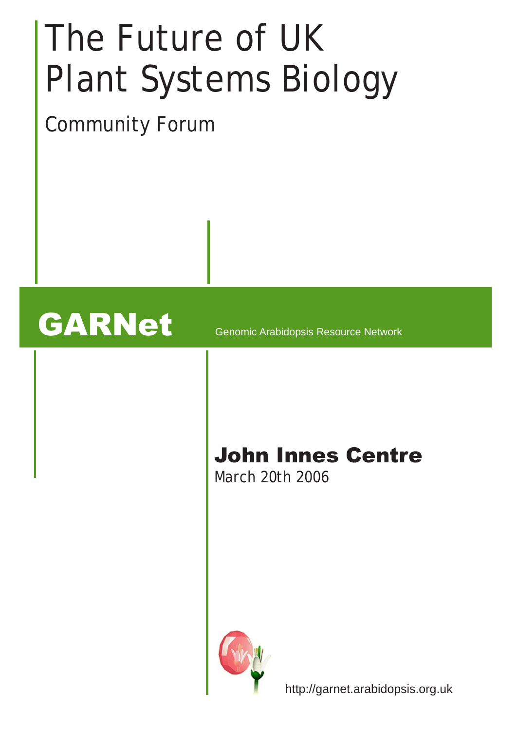# The Future of UK Plant Systems Biology

Community Forum

# GARNet Genomic Arabidopsis Resource Network

# John Innes Centre

March 20th 2006



http://garnet.arabidopsis.org.uk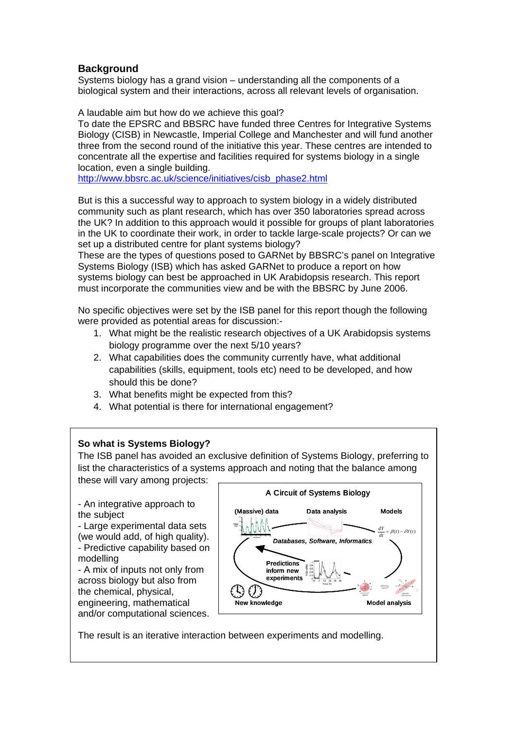# **Background**

Systems biology has a grand vision – understanding all the components of a biological system and their interactions, across all relevant levels of organisation.

A laudable aim but how do we achieve this goal?

To date the EPSRC and BBSRC have funded three Centres for Integrative Systems Biology (CISB) in Newcastle, Imperial College and Manchester and will fund another three from the second round of the initiative this year. These centres are intended to concentrate all the expertise and facilities required for systems biology in a single location, even a single building.

[http://www.bbsrc.ac.uk/science/initiatives/cisb\\_phase2.html](http://www.bbsrc.ac.uk/science/initiatives/cisb_phase2.html)

But is this a successful way to approach to system biology in a widely distributed community such as plant research, which has over 350 laboratories spread across the UK? In addition to this approach would it possible for groups of plant laboratories in the UK to coordinate their work, in order to tackle large-scale projects? Or can we set up a distributed centre for plant systems biology?

These are the types of questions posed to GARNet by BBSRC's panel on Integrative Systems Biology (ISB) which has asked GARNet to produce a report on how systems biology can best be approached in UK Arabidopsis research. This report must incorporate the communities view and be with the BBSRC by June 2006.

No specific objectives were set by the ISB panel for this report though the following were provided as potential areas for discussion:-

- 1. What might be the realistic research objectives of a UK Arabidopsis systems biology programme over the next 5/10 years?
- 2. What capabilities does the community currently have, what additional capabilities (skills, equipment, tools etc) need to be developed, and how should this be done?
- 3. What benefits might be expected from this?
- 4. What potential is there for international engagement?

# **So what is Systems Biology?**

The ISB panel has avoided an exclusive definition of Systems Biology, preferring to list the characteristics of a systems approach and noting that the balance among these will vary among projects:

- An integrative approach to the subject

- Large experimental data sets (we would add, of high quality). - Predictive capability based o n modelling

- A mix of inputs not only from across biology but also from the chemical, physical, engineering, mathematical and/or computational sciences.



The result is an iterative interaction between experiments and modelling.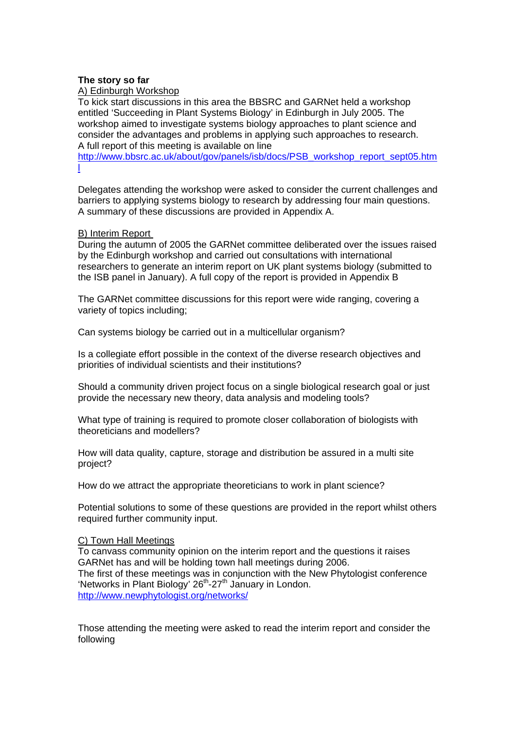#### **The story so far**

#### A) Edinburgh Workshop

To kick start discussions in this area the BBSRC and GARNet held a workshop entitled 'Succeeding in Plant Systems Biology' in Edinburgh in July 2005. The workshop aimed to investigate systems biology approaches to plant science and consider the advantages and problems in applying such approaches to research. A full report of this meeting is available on line

[http://www.bbsrc.ac.uk/about/gov/panels/isb/docs/PSB\\_workshop\\_report\\_sept05.htm](http://www.bbsrc.ac.uk/about/gov/panels/isb/docs/PSB_workshop_report_sept05.html) [l](http://www.bbsrc.ac.uk/about/gov/panels/isb/docs/PSB_workshop_report_sept05.html)

Delegates attending the workshop were asked to consider the current challenges and barriers to applying systems biology to research by addressing four main questions. A summary of these discussions are provided in Appendix A.

#### B) Interim Report

During the autumn of 2005 the GARNet committee deliberated over the issues raised by the Edinburgh workshop and carried out consultations with international researchers to generate an interim report on UK plant systems biology (submitted to the ISB panel in January). A full copy of the report is provided in Appendix B

The GARNet committee discussions for this report were wide ranging, covering a variety of topics including;

Can systems biology be carried out in a multicellular organism?

Is a collegiate effort possible in the context of the diverse research objectives and priorities of individual scientists and their institutions?

Should a community driven project focus on a single biological research goal or just provide the necessary new theory, data analysis and modeling tools?

What type of training is required to promote closer collaboration of biologists with theoreticians and modellers?

How will data quality, capture, storage and distribution be assured in a multi site project?

How do we attract the appropriate theoreticians to work in plant science?

Potential solutions to some of these questions are provided in the report whilst others required further community input.

#### C) Town Hall Meetings

To canvass community opinion on the interim report and the questions it raises GARNet has and will be holding town hall meetings during 2006. The first of these meetings was in conjunction with the New Phytologist conference 'Networks in Plant Biology' 26<sup>th</sup>-27<sup>th</sup> January in London. <http://www.newphytologist.org/networks/>

Those attending the meeting were asked to read the interim report and consider the following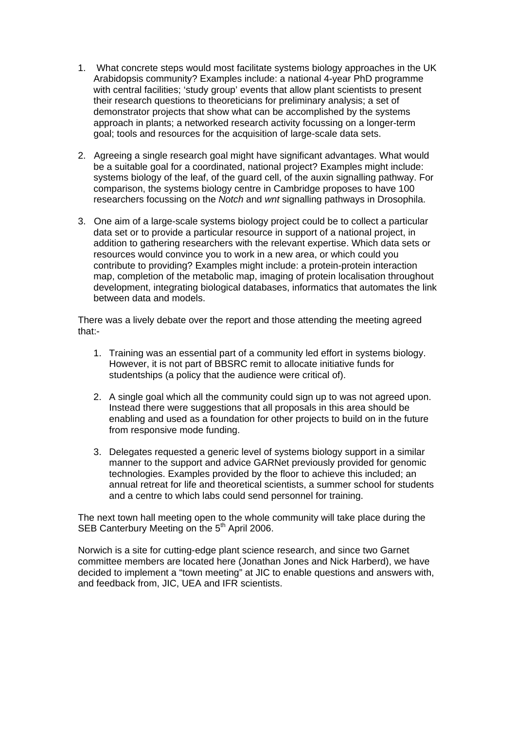- 1. What concrete steps would most facilitate systems biology approaches in the UK Arabidopsis community? Examples include: a national 4-year PhD programme with central facilities; 'study group' events that allow plant scientists to present their research questions to theoreticians for preliminary analysis; a set of demonstrator projects that show what can be accomplished by the systems approach in plants; a networked research activity focussing on a longer-term goal; tools and resources for the acquisition of large-scale data sets.
- 2. Agreeing a single research goal might have significant advantages. What would be a suitable goal for a coordinated, national project? Examples might include: systems biology of the leaf, of the guard cell, of the auxin signalling pathway. For comparison, the systems biology centre in Cambridge proposes to have 100 researchers focussing on the *Notch* and *wnt* signalling pathways in Drosophila.
- 3. One aim of a large-scale systems biology project could be to collect a particular data set or to provide a particular resource in support of a national project, in addition to gathering researchers with the relevant expertise. Which data sets or resources would convince you to work in a new area, or which could you contribute to providing? Examples might include: a protein-protein interaction map, completion of the metabolic map, imaging of protein localisation throughout development, integrating biological databases, informatics that automates the link between data and models.

There was a lively debate over the report and those attending the meeting agreed that:-

- 1. Training was an essential part of a community led effort in systems biology. However, it is not part of BBSRC remit to allocate initiative funds for studentships (a policy that the audience were critical of).
- 2. A single goal which all the community could sign up to was not agreed upon. Instead there were suggestions that all proposals in this area should be enabling and used as a foundation for other projects to build on in the future from responsive mode funding.
- 3. Delegates requested a generic level of systems biology support in a similar manner to the support and advice GARNet previously provided for genomic technologies. Examples provided by the floor to achieve this included; an annual retreat for life and theoretical scientists, a summer school for students and a centre to which labs could send personnel for training.

The next town hall meeting open to the whole community will take place during the SEB Canterbury Meeting on the 5<sup>th</sup> April 2006.

Norwich is a site for cutting-edge plant science research, and since two Garnet committee members are located here (Jonathan Jones and Nick Harberd), we have decided to implement a "town meeting" at JIC to enable questions and answers with, and feedback from, JIC, UEA and IFR scientists.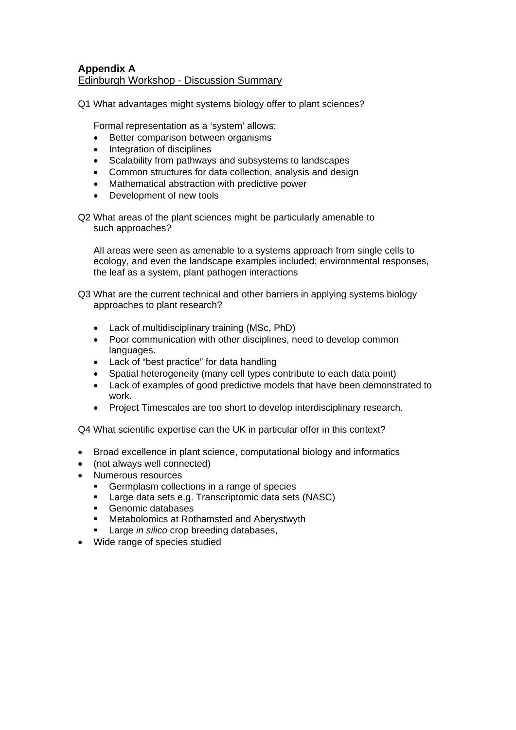## **Appendix A** Edinburgh Workshop - Discussion Summary

Q1 What advantages might systems biology offer to plant sciences?

Formal representation as a 'system' allows:

- Better comparison between organisms
- Integration of disciplines
- Scalability from pathways and subsystems to landscapes
- Common structures for data collection, analysis and design
- Mathematical abstraction with predictive power
- Development of new tools

Q2 What areas of the plant sciences might be particularly amenable to such approaches?

All areas were seen as amenable to a systems approach from single cells to ecology, and even the landscape examples included; environmental responses, the leaf as a system, plant pathogen interactions

Q3 What are the current technical and other barriers in applying systems biology approaches to plant research?

- Lack of multidisciplinary training (MSc, PhD)
- Poor communication with other disciplines, need to develop common languages.
- Lack of "best practice" for data handling
- Spatial heterogeneity (many cell types contribute to each data point)
- Lack of examples of good predictive models that have been demonstrated to work.
- Project Timescales are too short to develop interdisciplinary research.

Q4 What scientific expertise can the UK in particular offer in this context?

- Broad excellence in plant science, computational biology and informatics
- (not always well connected)
- Numerous resources
	- Germplasm collections in a range of species
	- **Large data sets e.g. Transcriptomic data sets (NASC)**
	- Genomic databases
	- **Metabolomics at Rothamsted and Aberystwyth**
	- Large *in silico* crop breeding databases,
- Wide range of species studied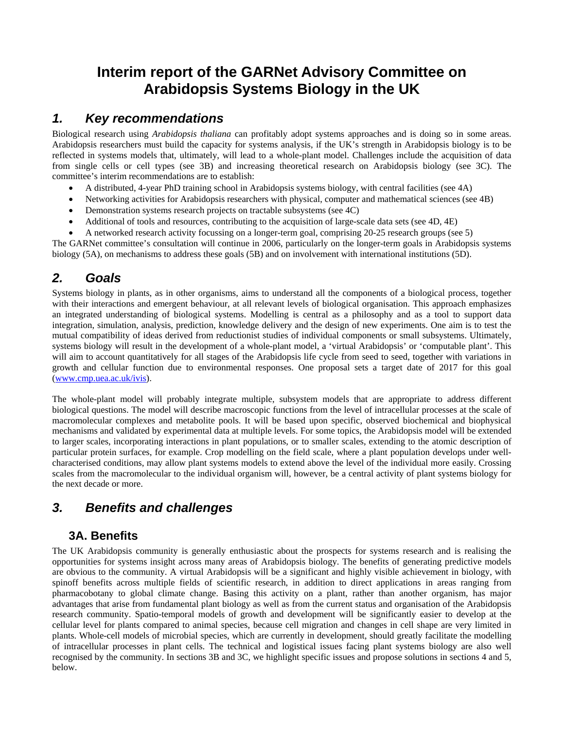# **Interim report of the GARNet Advisory Committee on Arabidopsis Systems Biology in the UK**

# *1. Key recommendations*

Biological research using *Arabidopsis thaliana* can profitably adopt systems approaches and is doing so in some areas. Arabidopsis researchers must build the capacity for systems analysis, if the UK's strength in Arabidopsis biology is to be reflected in systems models that, ultimately, will lead to a whole-plant model. Challenges include the acquisition of data from single cells or cell types (see 3B) and increasing theoretical research on Arabidopsis biology (see 3C). The committee's interim recommendations are to establish:

- A distributed, 4-year PhD training school in Arabidopsis systems biology, with central facilities (see 4A)
- Networking activities for Arabidopsis researchers with physical, computer and mathematical sciences (see 4B)
- Demonstration systems research projects on tractable subsystems (see 4C)
- Additional of tools and resources, contributing to the acquisition of large-scale data sets (see 4D, 4E)
- A networked research activity focussing on a longer-term goal, comprising 20-25 research groups (see 5)

The GARNet committee's consultation will continue in 2006, particularly on the longer-term goals in Arabidopsis systems biology (5A), on mechanisms to address these goals (5B) and on involvement with international institutions (5D).

# *2. Goals*

Systems biology in plants, as in other organisms, aims to understand all the components of a biological process, together with their interactions and emergent behaviour, at all relevant levels of biological organisation. This approach emphasizes an integrated understanding of biological systems. Modelling is central as a philosophy and as a tool to support data integration, simulation, analysis, prediction, knowledge delivery and the design of new experiments. One aim is to test the mutual compatibility of ideas derived from reductionist studies of individual components or small subsystems. Ultimately, systems biology will result in the development of a whole-plant model, a 'virtual Arabidopsis' or 'computable plant'. This will aim to account quantitatively for all stages of the Arabidopsis life cycle from seed to seed, together with variations in growth and cellular function due to environmental responses. One proposal sets a target date of 2017 for this goal [\(www.cmp.uea.ac.uk/ivis\)](http://www.cmp.uea.ac.uk/ivis).

The whole-plant model will probably integrate multiple, subsystem models that are appropriate to address different biological questions. The model will describe macroscopic functions from the level of intracellular processes at the scale of macromolecular complexes and metabolite pools. It will be based upon specific, observed biochemical and biophysical mechanisms and validated by experimental data at multiple levels. For some topics, the Arabidopsis model will be extended to larger scales, incorporating interactions in plant populations, or to smaller scales, extending to the atomic description of particular protein surfaces, for example. Crop modelling on the field scale, where a plant population develops under wellcharacterised conditions, may allow plant systems models to extend above the level of the individual more easily. Crossing scales from the macromolecular to the individual organism will, however, be a central activity of plant systems biology for the next decade or more.

# *3. Benefits and challenges*

# **3A. Benefits**

The UK Arabidopsis community is generally enthusiastic about the prospects for systems research and is realising the opportunities for systems insight across many areas of Arabidopsis biology. The benefits of generating predictive models are obvious to the community. A virtual Arabidopsis will be a significant and highly visible achievement in biology, with spinoff benefits across multiple fields of scientific research, in addition to direct applications in areas ranging from pharmacobotany to global climate change. Basing this activity on a plant, rather than another organism, has major advantages that arise from fundamental plant biology as well as from the current status and organisation of the Arabidopsis research community. Spatio-temporal models of growth and development will be significantly easier to develop at the cellular level for plants compared to animal species, because cell migration and changes in cell shape are very limited in plants. Whole-cell models of microbial species, which are currently in development, should greatly facilitate the modelling of intracellular processes in plant cells. The technical and logistical issues facing plant systems biology are also well recognised by the community. In sections 3B and 3C, we highlight specific issues and propose solutions in sections 4 and 5, below.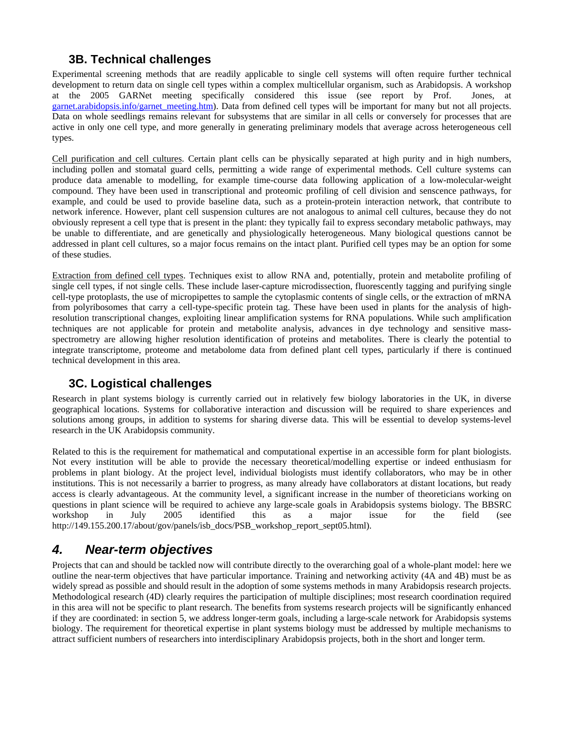# **3B. Technical challenges**

Experimental screening methods that are readily applicable to single cell systems will often require further technical development to return data on single cell types within a complex multicellular organism, such as Arabidopsis. A workshop at the 2005 GARNet meeting specifically considered this issue (see report by Prof. Jones, at [garnet.arabidopsis.info/garnet\\_meeting.htm](http://garnet.arabidopsis.info/garnet_meeting.htm)). Data from defined cell types will be important for many but not all projects. Data on whole seedlings remains relevant for subsystems that are similar in all cells or conversely for processes that are active in only one cell type, and more generally in generating preliminary models that average across heterogeneous cell types.

Cell purification and cell cultures. Certain plant cells can be physically separated at high purity and in high numbers, including pollen and stomatal guard cells, permitting a wide range of experimental methods. Cell culture systems can produce data amenable to modelling, for example time-course data following application of a low-molecular-weight compound. They have been used in transcriptional and proteomic profiling of cell division and senscence pathways, for example, and could be used to provide baseline data, such as a protein-protein interaction network, that contribute to network inference. However, plant cell suspension cultures are not analogous to animal cell cultures, because they do not obviously represent a cell type that is present in the plant: they typically fail to express secondary metabolic pathways, may be unable to differentiate, and are genetically and physiologically heterogeneous. Many biological questions cannot be addressed in plant cell cultures, so a major focus remains on the intact plant. Purified cell types may be an option for some of these studies.

Extraction from defined cell types. Techniques exist to allow RNA and, potentially, protein and metabolite profiling of single cell types, if not single cells. These include laser-capture microdissection, fluorescently tagging and purifying single cell-type protoplasts, the use of micropipettes to sample the cytoplasmic contents of single cells, or the extraction of mRNA from polyribosomes that carry a cell-type-specific protein tag. These have been used in plants for the analysis of highresolution transcriptional changes, exploiting linear amplification systems for RNA populations. While such amplification techniques are not applicable for protein and metabolite analysis, advances in dye technology and sensitive massspectrometry are allowing higher resolution identification of proteins and metabolites. There is clearly the potential to integrate transcriptome, proteome and metabolome data from defined plant cell types, particularly if there is continued technical development in this area.

# **3C. Logistical challenges**

Research in plant systems biology is currently carried out in relatively few biology laboratories in the UK, in diverse geographical locations. Systems for collaborative interaction and discussion will be required to share experiences and solutions among groups, in addition to systems for sharing diverse data. This will be essential to develop systems-level research in the UK Arabidopsis community.

Related to this is the requirement for mathematical and computational expertise in an accessible form for plant biologists. Not every institution will be able to provide the necessary theoretical/modelling expertise or indeed enthusiasm for problems in plant biology. At the project level, individual biologists must identify collaborators, who may be in other institutions. This is not necessarily a barrier to progress, as many already have collaborators at distant locations, but ready access is clearly advantageous. At the community level, a significant increase in the number of theoreticians working on questions in plant science will be required to achieve any large-scale goals in Arabidopsis systems biology. The BBSRC workshop in July 2005 identified this as a major issue for the field (see http://149.155.200.17/about/gov/panels/isb\_docs/PSB\_workshop\_report\_sept05.html).

# *4. Near-term objectives*

Projects that can and should be tackled now will contribute directly to the overarching goal of a whole-plant model: here we outline the near-term objectives that have particular importance. Training and networking activity (4A and 4B) must be as widely spread as possible and should result in the adoption of some systems methods in many Arabidopsis research projects. Methodological research (4D) clearly requires the participation of multiple disciplines; most research coordination required in this area will not be specific to plant research. The benefits from systems research projects will be significantly enhanced if they are coordinated: in section 5, we address longer-term goals, including a large-scale network for Arabidopsis systems biology. The requirement for theoretical expertise in plant systems biology must be addressed by multiple mechanisms to attract sufficient numbers of researchers into interdisciplinary Arabidopsis projects, both in the short and longer term.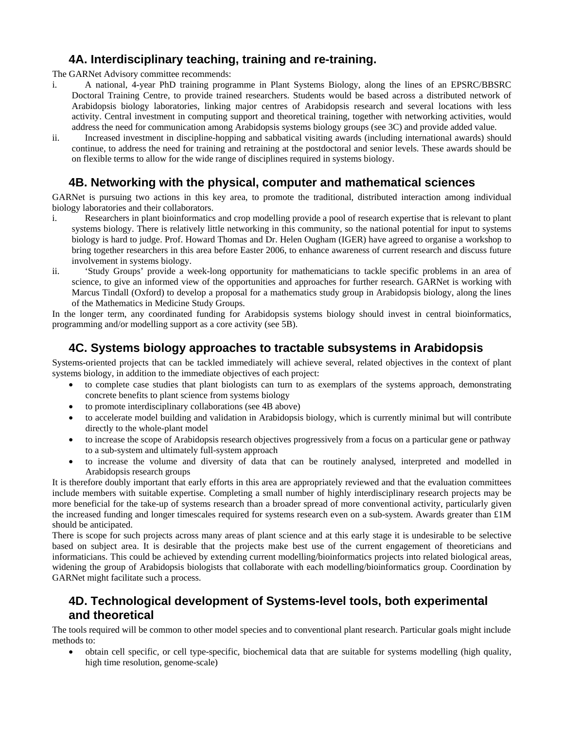# **4A. Interdisciplinary teaching, training and re-training.**

The GARNet Advisory committee recommends:

- i. A national, 4-year PhD training programme in Plant Systems Biology, along the lines of an EPSRC/BBSRC Doctoral Training Centre, to provide trained researchers. Students would be based across a distributed network of Arabidopsis biology laboratories, linking major centres of Arabidopsis research and several locations with less activity. Central investment in computing support and theoretical training, together with networking activities, would address the need for communication among Arabidopsis systems biology groups (see 3C) and provide added value.
- ii. Increased investment in discipline-hopping and sabbatical visiting awards (including international awards) should continue, to address the need for training and retraining at the postdoctoral and senior levels. These awards should be on flexible terms to allow for the wide range of disciplines required in systems biology.

# **4B. Networking with the physical, computer and mathematical sciences**

GARNet is pursuing two actions in this key area, to promote the traditional, distributed interaction among individual biology laboratories and their collaborators.

- i. Researchers in plant bioinformatics and crop modelling provide a pool of research expertise that is relevant to plant systems biology. There is relatively little networking in this community, so the national potential for input to systems biology is hard to judge. Prof. Howard Thomas and Dr. Helen Ougham (IGER) have agreed to organise a workshop to bring together researchers in this area before Easter 2006, to enhance awareness of current research and discuss future involvement in systems biology.
- ii. 'Study Groups' provide a week-long opportunity for mathematicians to tackle specific problems in an area of science, to give an informed view of the opportunities and approaches for further research. GARNet is working with Marcus Tindall (Oxford) to develop a proposal for a mathematics study group in Arabidopsis biology, along the lines of the Mathematics in Medicine Study Groups.

In the longer term, any coordinated funding for Arabidopsis systems biology should invest in central bioinformatics, programming and/or modelling support as a core activity (see 5B).

# **4C. Systems biology approaches to tractable subsystems in Arabidopsis**

Systems-oriented projects that can be tackled immediately will achieve several, related objectives in the context of plant systems biology, in addition to the immediate objectives of each project:

- to complete case studies that plant biologists can turn to as exemplars of the systems approach, demonstrating concrete benefits to plant science from systems biology
- to promote interdisciplinary collaborations (see 4B above)
- to accelerate model building and validation in Arabidopsis biology, which is currently minimal but will contribute directly to the whole-plant model
- to increase the scope of Arabidopsis research objectives progressively from a focus on a particular gene or pathway to a sub-system and ultimately full-system approach
- to increase the volume and diversity of data that can be routinely analysed, interpreted and modelled in Arabidopsis research groups

It is therefore doubly important that early efforts in this area are appropriately reviewed and that the evaluation committees include members with suitable expertise. Completing a small number of highly interdisciplinary research projects may be more beneficial for the take-up of systems research than a broader spread of more conventional activity, particularly given the increased funding and longer timescales required for systems research even on a sub-system. Awards greater than £1M should be anticipated.

There is scope for such projects across many areas of plant science and at this early stage it is undesirable to be selective based on subject area. It is desirable that the projects make best use of the current engagement of theoreticians and informaticians. This could be achieved by extending current modelling/bioinformatics projects into related biological areas, widening the group of Arabidopsis biologists that collaborate with each modelling/bioinformatics group. Coordination by GARNet might facilitate such a process.

# **4D. Technological development of Systems-level tools, both experimental and theoretical**

The tools required will be common to other model species and to conventional plant research. Particular goals might include methods to:

• obtain cell specific, or cell type-specific, biochemical data that are suitable for systems modelling (high quality, high time resolution, genome-scale)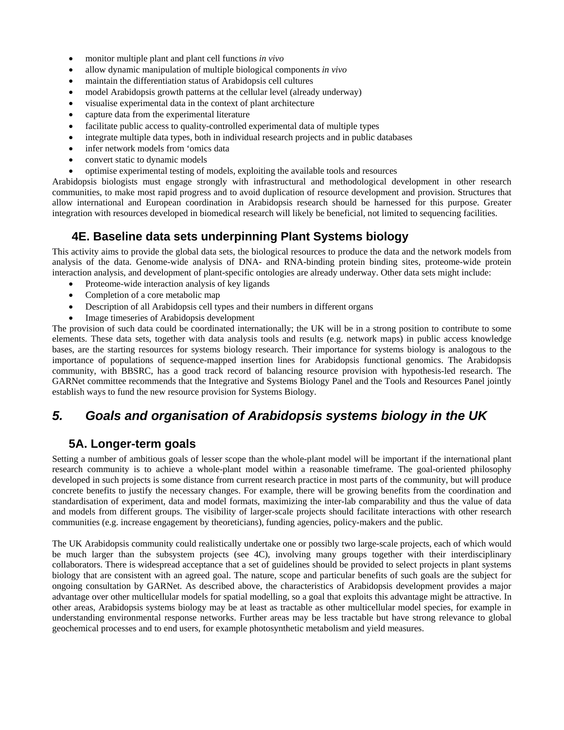- monitor multiple plant and plant cell functions *in vivo*
- allow dynamic manipulation of multiple biological components *in vivo*
- maintain the differentiation status of Arabidopsis cell cultures
- model Arabidopsis growth patterns at the cellular level (already underway)
- visualise experimental data in the context of plant architecture
- capture data from the experimental literature
- facilitate public access to quality-controlled experimental data of multiple types
- integrate multiple data types, both in individual research projects and in public databases
- infer network models from 'omics data
- convert static to dynamic models
- optimise experimental testing of models, exploiting the available tools and resources

Arabidopsis biologists must engage strongly with infrastructural and methodological development in other research communities, to make most rapid progress and to avoid duplication of resource development and provision. Structures that allow international and European coordination in Arabidopsis research should be harnessed for this purpose. Greater integration with resources developed in biomedical research will likely be beneficial, not limited to sequencing facilities.

# **4E. Baseline data sets underpinning Plant Systems biology**

This activity aims to provide the global data sets, the biological resources to produce the data and the network models from analysis of the data. Genome-wide analysis of DNA- and RNA-binding protein binding sites, proteome-wide protein interaction analysis, and development of plant-specific ontologies are already underway. Other data sets might include:

- Proteome-wide interaction analysis of key ligands
- Completion of a core metabolic map
- Description of all Arabidopsis cell types and their numbers in different organs
- Image timeseries of Arabidopsis development

The provision of such data could be coordinated internationally; the UK will be in a strong position to contribute to some elements. These data sets, together with data analysis tools and results (e.g. network maps) in public access knowledge bases, are the starting resources for systems biology research. Their importance for systems biology is analogous to the importance of populations of sequence-mapped insertion lines for Arabidopsis functional genomics. The Arabidopsis community, with BBSRC, has a good track record of balancing resource provision with hypothesis-led research. The GARNet committee recommends that the Integrative and Systems Biology Panel and the Tools and Resources Panel jointly establish ways to fund the new resource provision for Systems Biology.

# *5. Goals and organisation of Arabidopsis systems biology in the UK*

# **5A. Longer-term goals**

Setting a number of ambitious goals of lesser scope than the whole-plant model will be important if the international plant research community is to achieve a whole-plant model within a reasonable timeframe. The goal-oriented philosophy developed in such projects is some distance from current research practice in most parts of the community, but will produce concrete benefits to justify the necessary changes. For example, there will be growing benefits from the coordination and standardisation of experiment, data and model formats, maximizing the inter-lab comparability and thus the value of data and models from different groups. The visibility of larger-scale projects should facilitate interactions with other research communities (e.g. increase engagement by theoreticians), funding agencies, policy-makers and the public.

The UK Arabidopsis community could realistically undertake one or possibly two large-scale projects, each of which would be much larger than the subsystem projects (see 4C), involving many groups together with their interdisciplinary collaborators. There is widespread acceptance that a set of guidelines should be provided to select projects in plant systems biology that are consistent with an agreed goal. The nature, scope and particular benefits of such goals are the subject for ongoing consultation by GARNet. As described above, the characteristics of Arabidopsis development provides a major advantage over other multicellular models for spatial modelling, so a goal that exploits this advantage might be attractive. In other areas, Arabidopsis systems biology may be at least as tractable as other multicellular model species, for example in understanding environmental response networks. Further areas may be less tractable but have strong relevance to global geochemical processes and to end users, for example photosynthetic metabolism and yield measures.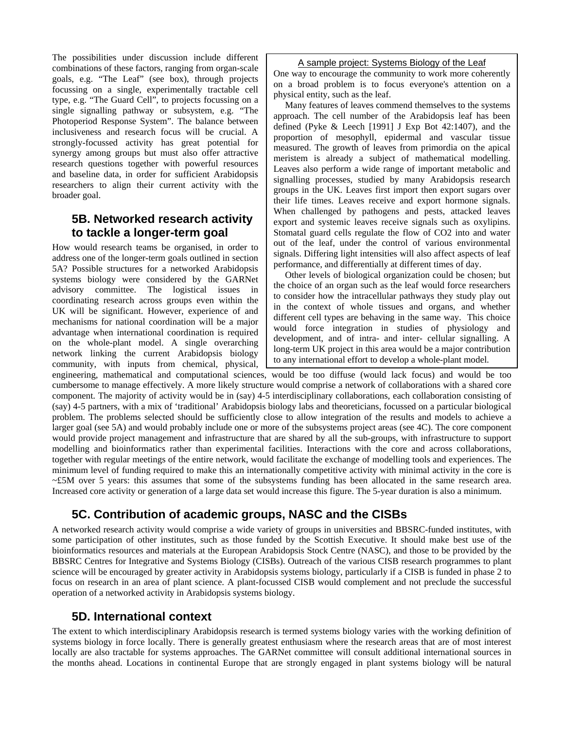The possibilities under discussion include different combinations of these factors, ranging from organ-scale goals, e.g. "The Leaf" (see box), through projects focussing on a single, experimentally tractable cell type, e.g. "The Guard Cell", to projects focussing on a single signalling pathway or subsystem, e.g. "The Photoperiod Response System". The balance between inclusiveness and research focus will be crucial. A strongly-focussed activity has great potential for synergy among groups but must also offer attractive research questions together with powerful resources and baseline data, in order for sufficient Arabidopsis researchers to align their current activity with the broader goal.

# **5B. Networked research activity to tackle a longer-term goal**

How would research teams be organised, in order to address one of the longer-term goals outlined in section 5A? Possible structures for a networked Arabidopsis systems biology were considered by the GARNet advisory committee. The logistical issues in coordinating research across groups even within the UK will be significant. However, experience of and mechanisms for national coordination will be a major advantage when international coordination is required on the whole-plant model. A single overarching network linking the current Arabidopsis biology community, with inputs from chemical, physical,

#### A sample project: Systems Biology of the Leaf

One way to encourage the community to work more coherently on a broad problem is to focus everyone's attention on a physical entity, such as the leaf.

 Many features of leaves commend themselves to the systems approach. The cell number of the Arabidopsis leaf has been defined (Pyke & Leech [1991] J Exp Bot 42:1407), and the proportion of mesophyll, epidermal and vascular tissue measured. The growth of leaves from primordia on the apical meristem is already a subject of mathematical modelling. Leaves also perform a wide range of important metabolic and signalling processes, studied by many Arabidopsis research groups in the UK. Leaves first import then export sugars over their life times. Leaves receive and export hormone signals. When challenged by pathogens and pests, attacked leaves export and systemic leaves receive signals such as oxylipins. Stomatal guard cells regulate the flow of CO2 into and water out of the leaf, under the control of various environmental signals. Differing light intensities will also affect aspects of leaf performance, and differentially at different times of day.

 Other levels of biological organization could be chosen; but the choice of an organ such as the leaf would force researchers to consider how the intracellular pathways they study play out in the context of whole tissues and organs, and whether different cell types are behaving in the same way. This choice would force integration in studies of physiology and development, and of intra- and inter- cellular signalling. A long-term UK project in this area would be a major contribution to any international effort to develop a whole-plant model.

engineering, mathematical and computational sciences, would be too diffuse (would lack focus) and would be too cumbersome to manage effectively. A more likely structure would comprise a network of collaborations with a shared core component. The majority of activity would be in (say) 4-5 interdisciplinary collaborations, each collaboration consisting of (say) 4-5 partners, with a mix of 'traditional' Arabidopsis biology labs and theoreticians, focussed on a particular biological problem. The problems selected should be sufficiently close to allow integration of the results and models to achieve a larger goal (see 5A) and would probably include one or more of the subsystems project areas (see 4C). The core component would provide project management and infrastructure that are shared by all the sub-groups, with infrastructure to support modelling and bioinformatics rather than experimental facilities. Interactions with the core and across collaborations, together with regular meetings of the entire network, would facilitate the exchange of modelling tools and experiences. The minimum level of funding required to make this an internationally competitive activity with minimal activity in the core is ~£5M over 5 years: this assumes that some of the subsystems funding has been allocated in the same research area. Increased core activity or generation of a large data set would increase this figure. The 5-year duration is also a minimum.

# **5C. Contribution of academic groups, NASC and the CISBs**

A networked research activity would comprise a wide variety of groups in universities and BBSRC-funded institutes, with some participation of other institutes, such as those funded by the Scottish Executive. It should make best use of the bioinformatics resources and materials at the European Arabidopsis Stock Centre (NASC), and those to be provided by the BBSRC Centres for Integrative and Systems Biology (CISBs). Outreach of the various CISB research programmes to plant science will be encouraged by greater activity in Arabidopsis systems biology, particularly if a CISB is funded in phase 2 to focus on research in an area of plant science. A plant-focussed CISB would complement and not preclude the successful operation of a networked activity in Arabidopsis systems biology.

# **5D. International context**

The extent to which interdisciplinary Arabidopsis research is termed systems biology varies with the working definition of systems biology in force locally. There is generally greatest enthusiasm where the research areas that are of most interest locally are also tractable for systems approaches. The GARNet committee will consult additional international sources in the months ahead. Locations in continental Europe that are strongly engaged in plant systems biology will be natural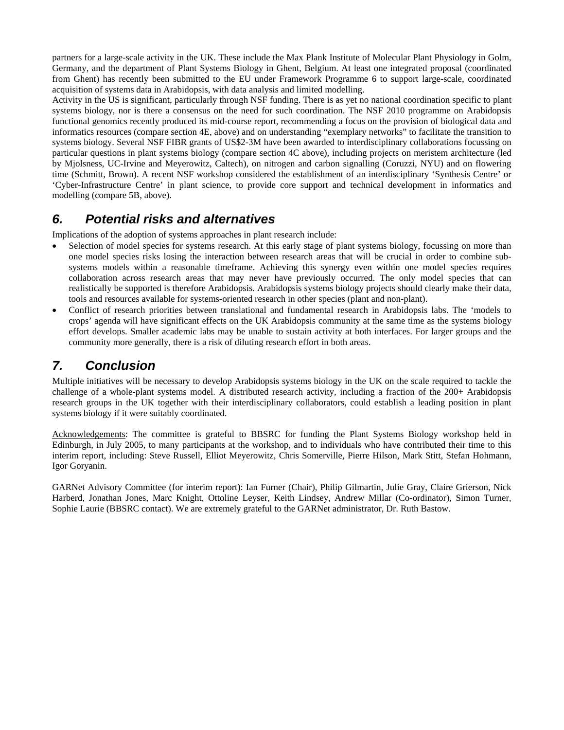partners for a large-scale activity in the UK. These include the Max Plank Institute of Molecular Plant Physiology in Golm, Germany, and the department of Plant Systems Biology in Ghent, Belgium. At least one integrated proposal (coordinated from Ghent) has recently been submitted to the EU under Framework Programme 6 to support large-scale, coordinated acquisition of systems data in Arabidopsis, with data analysis and limited modelling.

Activity in the US is significant, particularly through NSF funding. There is as yet no national coordination specific to plant systems biology, nor is there a consensus on the need for such coordination. The NSF 2010 programme on Arabidopsis functional genomics recently produced its mid-course report, recommending a focus on the provision of biological data and informatics resources (compare section 4E, above) and on understanding "exemplary networks" to facilitate the transition to systems biology. Several NSF FIBR grants of US\$2-3M have been awarded to interdisciplinary collaborations focussing on particular questions in plant systems biology (compare section 4C above), including projects on meristem architecture (led by Mjolsness, UC-Irvine and Meyerowitz, Caltech), on nitrogen and carbon signalling (Coruzzi, NYU) and on flowering time (Schmitt, Brown). A recent NSF workshop considered the establishment of an interdisciplinary 'Synthesis Centre' or 'Cyber-Infrastructure Centre' in plant science, to provide core support and technical development in informatics and modelling (compare 5B, above).

# *6. Potential risks and alternatives*

Implications of the adoption of systems approaches in plant research include:

- Selection of model species for systems research. At this early stage of plant systems biology, focussing on more than one model species risks losing the interaction between research areas that will be crucial in order to combine subsystems models within a reasonable timeframe. Achieving this synergy even within one model species requires collaboration across research areas that may never have previously occurred. The only model species that can realistically be supported is therefore Arabidopsis. Arabidopsis systems biology projects should clearly make their data, tools and resources available for systems-oriented research in other species (plant and non-plant).
- Conflict of research priorities between translational and fundamental research in Arabidopsis labs. The 'models to crops' agenda will have significant effects on the UK Arabidopsis community at the same time as the systems biology effort develops. Smaller academic labs may be unable to sustain activity at both interfaces. For larger groups and the community more generally, there is a risk of diluting research effort in both areas.

# *7. Conclusion*

Multiple initiatives will be necessary to develop Arabidopsis systems biology in the UK on the scale required to tackle the challenge of a whole-plant systems model. A distributed research activity, including a fraction of the 200+ Arabidopsis research groups in the UK together with their interdisciplinary collaborators, could establish a leading position in plant systems biology if it were suitably coordinated.

Acknowledgements: The committee is grateful to BBSRC for funding the Plant Systems Biology workshop held in Edinburgh, in July 2005, to many participants at the workshop, and to individuals who have contributed their time to this interim report, including: Steve Russell, Elliot Meyerowitz, Chris Somerville, Pierre Hilson, Mark Stitt, Stefan Hohmann, Igor Goryanin.

GARNet Advisory Committee (for interim report): Ian Furner (Chair), Philip Gilmartin, Julie Gray, Claire Grierson, Nick Harberd, Jonathan Jones, Marc Knight, Ottoline Leyser, Keith Lindsey, Andrew Millar (Co-ordinator), Simon Turner, Sophie Laurie (BBSRC contact). We are extremely grateful to the GARNet administrator, Dr. Ruth Bastow.